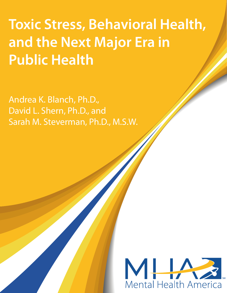**Toxic Stress, Behavioral Health, and the Next Major Era in Public Health**

David L. Shern, Ph.D., and Andrea K. Blanch, Ph.D., Sarah M. Steverman, Ph.D., M.S.W.

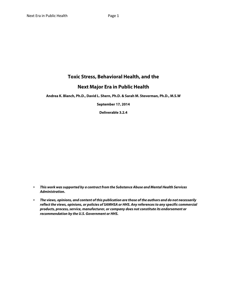# **Toxic Stress, Behavioral Health, and the**

# **Next Major Era in Public Health**

**Andrea K. Blanch, Ph.D., David L. Shern, Ph.D. & Sarah M. Steverman, Ph.D., M.S.W**

**September 17, 2014**

**Deliverable 3.2.4** 

- *This work was supported by a contract from the Substance Abuse and Mental Health Services Administration.*
- *The views, opinions, and content of this publication are those of the authors and do not necessarily reflect the views, opinions, or policies of SAMHSA or HHS. Any references to any specific commercial products, process, service, manufacturer, or company does not constitute its endorsement or recommendation by the U.S. Government or HHS.*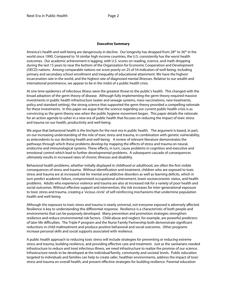### **Executive Summary**

America's health and well-being are dangerously in decline. Our longevity has dropped from 28<sup>th</sup> to 36<sup>th</sup> in the world since 1990. Compared to 16 similar high income countries, the U.S. consistently has the worst health outcomes. Our academic achievement is lagging, with U.S. scores on reading, science, and math dropping during the last 15 years to near the bottom of the Organization for Economic Cooperation and Development (OECD) nations. Among comparable nations we score poorly on 25 of 54 indicators of well-being, including primary and secondary school enrollment and inequality of educational attainment. We have the highest incarceration rate in the world, and the highest rate of diagnosed mental illnesses. Relative to our wealth and international prominence, we appear to be in the midst of a public health crisis.

At one time epidemics of infectious illness were the greatest threat to the public's health. This changed with the broad adoption of the germ theory of disease. Although fully implementing the germ theory required massive investments in public health infrastructure (water and sewage systems, mass vaccinations, new treatments, policy and standard setting), the strong science that supported the germ theory provided a compelling rationale for these investments. In this paper we argue that the science regarding our current public health crisis is as convincing as the germ theory was when the public hygiene movement began. This paper details the rationale for an action agenda to usher in a new era of public health that focuses on reducing the impact of toxic stress and trauma on our health, productivity and well-being.

We argue that behavioral health is the linchpin for the next era in public health. The argument is based, in part, on our increasing understanding of the role of toxic stress and trauma, in combination with genetic vulnerability, as antecedents to our declining health and well-being. A review of relevant literature demonstrates the pathways through which these problems develop by mapping the effects of stress and trauma on neural, endocrine and immunological systems. These effects, in turn, cause problems in cognition and executive and emotional control which lead to further developmental problems. A subsequent cascade of consequences ultimately results in increased rates of chronic illnesses and disability.

Behavioral health problems, whether initially displayed in childhood or adulthood, are often the first visible consequences of stress and trauma. Without identification and treatment, children who are exposed to toxic stress and trauma are at increased risk for mental and addictive disorders as well as learning deficits, which in turn predict academic failure, compromised occupational achievement, lower socioeconomic status, and health problems. Adults who experience violence and trauma are also at increased risk for a variety of poor health and social outcomes. Without effective support and intervention, the risk increases for inter-generational exposure to toxic stress and trauma, creating a 'vicious circle' of self-reinforcing mechanisms that undermine population health and well-being.

Although the exposure to toxic stress and trauma is nearly universal, not everyone exposed is adversely affected. Resilience is key to understanding this differential response. Resilience is a characteristic of both people and environments that can be purposely developed. Many prevention and promotion strategies strengthen resilience and reduce environmental risk factors. Child abuse and neglect, for example, are powerful predictors of later life difficulties. The Triple P program and the Nurse Family Partnership both demonstrate significant reductions in child maltreatment and produce positive behavioral and social outcomes. Other programs increase personal skills and social supports associated with resilience.

A public health approach to reducing toxic stress will include strategies for preventing or reducing extreme stress and trauma, building resilience, and providing effective care and treatment. Just as the sanitarians needed infrastructure to reduce and treat infectious illness, we need infrastructure to realize the promise of our science. Infrastructure needs to be developed at the individual/family, community and societal levels. Public education targeted to individuals and families can help to create safer, healthier environments, address the impact of toxic stress and trauma on overall health, and present effective strategies for building resilience. Parental education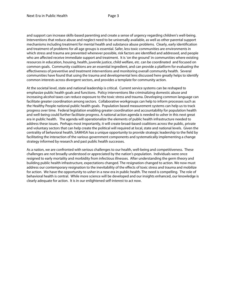and support can increase skills-based parenting and create a sense of urgency regarding children's well-being. Interventions that reduce abuse and neglect need to be universally available, as well as other parental support mechanisms including treatment for mental health and substance abuse problems. Clearly, early identification and treatment of problems for all age groups is essential. Safer, less toxic communities are environments in which stress and trauma are prevented whenever possible, risk factors are identified and addressed, and people who are affected receive immediate support and treatment. It is 'on the ground' in communities where existing resources in education, housing, health, juvenile justice, child welfare, etc. can be coordinated and focused on common goals. Community coalitions are an essential ingredient, and can provide a platform for evaluating the effectiveness of preventive and treatment interventions and monitoring overall community health. Several communities have found that using the trauma and developmental lens discussed here greatly helps to identify common interests across divergent sectors, and provides a template for community action.

At the societal level, state and national leadership is critical. Current service systems can be reshaped to emphasize public health goals and functions. Policy interventions like criminalizing domestic abuse and increasing alcohol taxes can reduce exposure to the toxic stress and trauma. Developing common language can facilitate greater coordination among sectors. Collaborative workgroups can help to inform processes such as the Healthy People national public health goals. Population based measurement systems can help us to track progress over time. Federal legislation enabling greater coordination and accountability for population health and well-being could further facilitate progress. A national action agenda is needed to usher in this next great era in public health. The agenda will operationalize the elements of public health infrastructure needed to address these issues. Perhaps most importantly, it will create broad-based coalitions across the public, private and voluntary sectors that can help create the political will required at local, state and national levels. Given the centrality of behavioral health, SAMHSA has a unique opportunity to provide strategic leadership to the field by facilitating the interaction of the various government components and systematically implementing a change strategy informed by research and past public health successes.

As a nation, we are confronted with serious challenges to our health, well-being and competitiveness. These challenges are not broadly understood or appreciated by the nation's population. Individuals were once resigned to early mortality and morbidity from infectious illnesses. After understanding the germ theory and building public health infrastructure, expectations changed. The resignation changed to action. We now must address our contemporary resignation to the inevitability of the effects of toxic stress and trauma and mobilize for action. We have the opportunity to usher in a new era in public health. The need is compelling. The role of behavioral health is central. While more science will be developed and our insights enhanced, our knowledge is clearly adequate for action. It is in our enlightened self-interest to act now.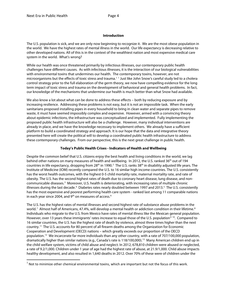l

# **Introduction**

The U.S. population is sick, and we are only now beginning to recognize it. We are the most obese population in the world. We have the highest rates of mental illness in the world. Our life expectancy is decreasing relative to other developed nations. All of this is in the context of the wealthiest nation and most expensive medical care system in the world. What's wrong?

While our health was once threatened primarily by infectious illnesses, our contemporary public health challenges have different causes. As with infectious illnesses, it is the interaction of our biological vulnerabilities with environmental toxins that undermines our health. The contemporary toxins, however, are not microorganisms but the effects of toxic stress and trauma. [1](#page-4-0) [1](#page-6-0) Just like John Snow's careful study led to a cholera control strategy prior to the full elaboration of the germ theory, we now have compelling evidence for the long term impact of toxic stress and trauma on the development of behavioral and general health problems. In fact, our knowledge of the mechanisms that undermine our health is much better than what Snow had available.

We also know a lot about what can be done to address these effects - both by reducing exposure and by increasing resilience. Addressing these problems is not easy, but it is not an impossible task. When the early sanitarians proposed installing pipes in every household to bring in clean water and separate pipes to remove waste, it must have seemed impossibly complex and expensive. However, armed with a convincing theory about epidemic infections, the infrastructure was conceptualized and implemented. Fully implementing the proposed public health infrastructure will also be a challenge. However, many individual interventions are already in place, and we have the knowledge necessary to implement others. We already have a sufficient platform to build a coordinated strategy and approach. It is our hope that the data and integrative theory presented here will create the political will to develop a coordinated public health infrastructure to address these contemporary challenges. From our perspective, this is the next great challenge in public health.

# **Today's Public Health Crises - Indicators of Health and Wellbeing**

Despite the common belief that U.S. citizens enjoy the best health and living conditions in the world, we lag behind other nations on many measures of health and wellbeing. In 2012, the U.S. ranked 36<sup>th</sup> out of 194 countries in life expectancy, dropping from [2](#page-6-1)8<sup>th</sup> in 1990.<sup>2</sup> The U.S. ranks 38<sup>th</sup> in disability adjusted life years. The Institute of Medicine (IOM) recently compared the U.S. to 16 similar high income countries. The U.S. consistently has the worst health outcomes, with the highest 0-5 child mortality rate, maternal mortality rate, and rate of obesity. The U.S. has the second highest rates of death due to coronary heart disease, lung disease, and non-communicable diseases.<sup>[3](#page-6-2)</sup> Moreover, U.S. health is deteriorating, with increasing rates of multiple chronic illnesses during the last decade.<sup>[4](#page-6-3)</sup> Diabetes rates nearly doubled between 1997 and 2013.<sup>[5](#page-6-4)</sup> The U.S. consistently has the most expensive and poorest performing health care system - ranked last among 11 comparable nations in each year since 2004, and 9<sup>th</sup> on measures of access.<sup>[6](#page-6-5)</sup>

The U.S. has the highest rates of mental illnesses and second highest rate of substance abuse problems in the world.<sup>[7](#page-6-6)</sup> Almost half of Americans, 47.4%, will develop a mental health or addiction condition in their lifetime.<sup>[8](#page-6-7)</sup> Individuals who migrate to the U.S. from Mexico have rates of mental illness like the Mexican general population. However, over 13 years these immigrants' rates increase to equal those of the U.S. population<sup>[9](#page-6-8) [10](#page-6-9)</sup>. Compared to 16 similar countries, the U.S. has the highest rate of death by violence, almost three times higher than the next country.[11](#page-6-10) The U.S. accounts for 80 percent of all firearm deaths among the Organization for Economic Cooperation and Development (OECD) nations – which greatly exceeds our proportion of the OECD population. [12](#page-6-11) We incarcerate far more individuals than any other country, with a rate of 707/100,000 population, dramatically higher than similar nations (e.g., Canada's rate is 118/100,000).[13](#page-6-12) Many American children end up in the child welfare system, victims of child abuse and neglect. In 2012, 678,810 children were abused or neglected, a rate of 9.2/1,000. Children under 1 year of age had the highest rate of abuse, at 21.9/1,000. Child abuse impacts healthy development, and also resulted in 1,640 deaths in 2012. Over 70% of these were of children under the

<span id="page-4-0"></span> $1$  Not to minimize other chemical environmental toxins, which are important but not the focus of this work.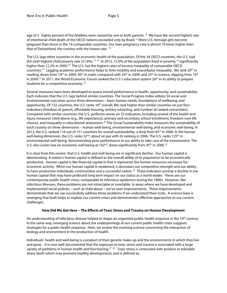age of 3. Eighty percent of the fatalities were caused by one or both parents.<sup>14</sup> We have the second highest rate of intentional child death of the OECD nations exceeded only by Brazil.[15](#page-7-1) More U.S. teenage girls become pregnant than those in the 16 comparable countries. Our teen pregnancy rate is almost 10 times higher than that of Switzerland, the country with the lowest rate.<sup>[16](#page-7-2)</sup>

The U.S. lags other countries in the economic health of the population. Of the 34 OECD countries, the U.S. had the sixth highest child poverty rate (21.8%).<sup>[17](#page-7-3) 18</sup> In 2012, 15.0% of the population lived in poverty,<sup>[19](#page-7-5)</sup> significantly higher than 12.2% in 2000.<sup>20</sup> The U.S. has the highest rates of income inequality of comparable OECD countries.<sup>21</sup> Lagging academic performance helps to limit mobility and exacerbates inequality. We rank 20<sup>th</sup> in reading, down from 10<sup>th</sup> in 2009; 30<sup>th</sup> in math, compared with 24<sup>th</sup> in 2009; and 23<sup>rd</sup> in science, slipping from 19<sup>th</sup> in 2009.<sup>[22](#page-7-8)</sup> In 2011, the World Economic Forum ranked the U.S.'s education system 26<sup>th</sup> in its ability to prepare students for a competitive economy.<sup>[23](#page-7-9)</sup>

Several measures have been developed to assess overall performance in health, opportunity, and sustainability. Each indicates that the U.S. lags behind similar countries. The Social Progress Index utilizes 54 social and environmental outcomes across three dimensions – basic human needs, foundations of wellbeing, and opportunity. Of 132 countries, the U.S. ranks 16<sup>th</sup> overall. We rank higher than similar countries on just four indicators (freedom of speech, affordable housing, tertiary schooling, and number of ranked universities). Compared with similar countries, the U.S. performs worse on 25 indicators, including several of the health and injury measures cited above (e.g., life expectancy), primary and secondary school enrollment, freedom over life choices, and inequality in educational attainment.<sup>[24](#page-7-10)</sup> The Social Sustainability Index measures the sustainability of each country on three dimensions – human well-being, environmental well-being, and economic well-being. In 2012, the U.S. ranked 116 out of 151 countries for overall sustainability, a drop from 93<sup>rd</sup> in 2006. In the human well-being dimension, the U.S. ranks 32<sup>nd</sup>, about on par with its ranking in 2006. The U.S. ranks 125<sup>th</sup> in environmental well-being, demonstrating poor performance in our ability to take care of the environment. The U.S. also scores low on economic well-being at  $102<sup>nd</sup>$ , down significantly from 45<sup>th</sup> in 2006.<sup>[25](#page-7-11)</sup>

It is clear from this review that U.S. health and well-being are in significant decline. Our human capital is deteriorating. A nation's human capital is defined as the overall ability of its population to be economically productive. Human capital is like financial capital in that it represents the human resources necessary for economic activity. When our human capital is weakened, it decreases our competitive strength and our ability to have productive individuals, communities and a successful nation.<sup>[26](#page-7-12)</sup> These indicators portray a decline in our human capital that may have profound long term impact on our status as a world leader. These are our contemporary public health crises, comparable to infectious epidemics during the 1800s. However, like infectious illnesses, these problems are not intractable or inevitable. In areas where we have developed and implemented social policies – such as child abuse – we've seen improvements. These improvements demonstrate that we can successfully address these problems if we understand their roots. A science base is emerging that both helps to explain our current crises and demonstrates effective approaches to our current challenges.

## **How Did We Get Here – The Effects of Toxic Stress and Trauma on Human Development**

An understanding of infectious disease helped to shape an organized public health response in the 19<sup>th</sup> century. In the same way, emerging science about the underpinnings of our current public health crises suggests strategies for a public health response. Here, we review the evolving science concerning the interaction of biology and environment in the production of health.

Individuals' health and well-being is a product of their genetic make-up and the environments in which they live and grow. It is now well documented that the exposure to toxic stress and trauma is associated with a large variety of problems in human health and functioning.<sup>[27](#page-7-13) 28</sup> Toxic stress is contrasted with positive or tolerable stress (both which may promote healthy development), and is defined as: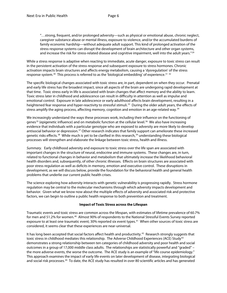"…strong, frequent, and/or prolonged adversity—such as physical or emotional abuse, chronic neglect, caregiver substance abuse or mental illness, exposure to violence, and/or the accumulated burdens of family economic hardship—without adequate adult support. This kind of prolonged activation of the stress response systems can disrupt the development of brain architecture and other organ systems, and increase the risk for stress-related disease and cognitive impairment, well into the adult years."<sup>[29](#page-8-0)</sup>

<span id="page-6-2"></span><span id="page-6-1"></span><span id="page-6-0"></span>While a stress response is adaptive when reacting to immediate, acute danger, exposure to toxic stress can result in the persistent activation of the stress response and subsequent exposure to stress hormones. Chronic activation impacts brain structures and affects energy metabolism, causing a 'dysregulation' of the stress response system.<sup>[30](#page-8-1)</sup> This process is referred to as the 'biological embedding' of experience.<sup>[31](#page-8-2) [32](#page-8-3)</sup>

<span id="page-6-4"></span><span id="page-6-3"></span>The specific biological changes associated with toxic stress are, in part, dependent on when they occur. Prenatal and early life stress has the broadest impact, since all aspects of the brain are undergoing rapid development at that time. Toxic stress early in life is associated with brain changes that affect memory and the ability to learn. Toxic stress later in childhood and adolescence can result in difficulty in attention as well as impulse and emotional control. Exposure in late adolescence or early adulthood affects brain development, resulting in a heightened fear response and hyper-reactivity to stressful stimuli.<sup>[33](#page-8-4)</sup> During the older adult years, the effects of stress amplify the aging process, affecting memory, cognition and emotion in an age-related way.<sup>34</sup>

<span id="page-6-7"></span><span id="page-6-6"></span><span id="page-6-5"></span>We increasingly understand the ways these processes work, including their influence on the functioning of genes<sup>[35](#page-8-6)</sup> (epigenetic influence) and on metabolic function at the cellular level.<sup>[36](#page-8-7)</sup> We also have increasing evidence that individuals with a particular genotype who are exposed to adversity are more likely to develop antisocial behavior or depression.<sup>[37](#page-8-8)</sup> Other research indicates that family support can ameliorate these increased genetic risks effects.<sup>[38](#page-8-9)</sup> While much is yet to be clarified in this research,<sup>[39](#page-8-10)</sup> understanding these biological processes will strengthen and elaborate the linkage between toxic stress, health and illness.

<span id="page-6-10"></span><span id="page-6-9"></span><span id="page-6-8"></span>*Summary.*Early childhood adversity and exposure to toxic stress over the life span are associated with important changes in the structure of neural, endocrine and immune systems. These changes are, in turn, related to functional changes in behavior and metabolism that ultimately increase the likelihood behavioral health disorders and, subsequently, of other chronic illnesses. Effects on brain structures are associated with poor stress regulation as well as deficits in memory, emotion and executive control. These disruptions in development, as we will discuss below, provide the foundation for the behavioral health and general health problems that underlie our current public health crises.

<span id="page-6-12"></span><span id="page-6-11"></span>The science exploring how adversity interacts with genetic vulnerability is progressing rapidly. Stress hormone regulation may be central to the molecular mechanisms through which adversity impacts development and behavior. Given what we know now about the multiple effects of adversity and associated risk and protective factors, we can begin to outline a public health response to both prevention and treatment.

## **Impact of Toxic Stress across the Lifespan**

Traumatic events and toxic stress are common across the lifespan, with estimates of lifetime prevalence of 60.7% for men and 51.2% for women.<sup>40</sup> Almost 90% of respondents to the National Stressful Events Survey reported exposure to at least one traumatic event; 30% reported six event types.[41](#page-8-12) When other sources of toxic stress are considered, it seems clear that these experiences are near-universal.

It has long been accepted that social factors affect health and productivity.<sup>42</sup> Research strongly suggests that toxic stress in childhood mediates this relationship. The Adverse Childhood Experiences (ACE) Study<sup>[43](#page-8-14)</sup> demonstrates a strong relationship between ten categories of childhood adversity and poor health and social outcomes in a group of 17,000 middle class adults. The relationships are statistically powerful and "graded" – the more adverse events, the worse the outcome. The ACE study is an example of "life course epidemiology." This approach examines the impact of early life events on later development of disease, integrating biological and social risk processes.[44](#page-8-15) To date, the ACE study has resulted in over 80 scientific articles and has generated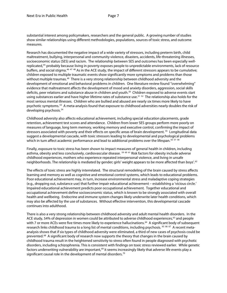<span id="page-7-7"></span>substantial interest among policymakers, researchers and the general public. A growing number of studies show similar relationships using different methodologies, populations, sources of toxic stress, and outcome measures.

<span id="page-7-10"></span><span id="page-7-9"></span><span id="page-7-8"></span>Research has documented the negative impact of a wide variety of stressors, including preterm birth, child maltreatment, bullying, interpersonal and community violence, disasters, accidents, life-threatening illnesses, socioeconomic status (SES) and racism. The relationship between SES and outcomes has been especially well-replicated,<sup>[45](#page-9-0)</sup> probably because living in poverty exposes people to unpredictable environments, lack of resource buffers, and social stigma.<sup>[46](#page-9-1) [47](#page-9-2) [48](#page-9-3)</sup> As in the ACE study, the impact of different stressors appears to be cumulative; children exposed to multiple traumatic events show significantly more symptoms and problems than those without multiple traumas.<sup>49</sup> There is a very strong relationship between childhood adversity and the development of emotional and behavioral problems in children. One literature review found "overwhelming" evidence that maltreatment affects the development of mood and anxiety disorders, aggression, social skills deficits, peer relations and substance abuse in children and youth.[50](#page-9-5) Children exposed to adverse events start using substances earlier and have higher lifetime rates of substance use.<sup>[51](#page-9-6) 52</sup> The relationship also holds for the most serious mental illnesses. Children who are bullied and abused are nearly six times more likely to have psychotic symptoms.[53](#page-9-8) A meta-analysis found that exposure to childhood adversities nearly doubles the risk of developing psychosis.<sup>54</sup>

<span id="page-7-14"></span><span id="page-7-13"></span><span id="page-7-12"></span><span id="page-7-11"></span>Childhood adversity also affects educational achievement, including special education placements, grade retention, achievement test scores and attendance. Children from lower SES groups perform more poorly on measures of language, long term memory, working memory and executive control, confirming the impact of stressors associated with poverty and their effects on specific areas of brain development.<sup>[55](#page-9-10)</sup> Longitudinal data suggest a developmental cascade, with toxic stressors leading to developmental and psychological problems which in turn affect academic performance and lead to additional problems over the lifespan.<sup>[56](#page-9-11) [57](#page-9-12)</sup> <sup>[58](#page-9-13)</sup>

Finally, exposure to toxic stress has been shown to impact measures of general health in children, including asthma, obesity and less conclusively, cardiovascular disease. <sup>[59](#page-9-14) [60](#page-9-15) [61](#page-9-16)</sup> Risk factors for obesity include adverse childhood experiences, mothers who experience repeated interpersonal violence, and living in unsafe neighborhoods. The relationship is mediated by gender; girls' weight appears to be more affected than boys'.[62](#page-9-17)

<span id="page-7-0"></span>The effects of toxic stress are highly interrelated. The structural remodeling of the brain caused by stress affects learning and memory as well as cognitive and emotional control systems, which leads to educational problems. Poor educational achievement may, in turn, increase environmental stress and maladaptive coping strategies (e.g., dropping out, substance use) that further impair educational achievement – establishing a 'vicious circle.' Impaired educational achievement predicts poor occupational achievement. Together educational and occupational achievement define socioeconomic status, which is known to be strongly associated with overall health and wellbeing. Endocrine and immune system changes likely underwrite later health conditions, which may also be affected by the use of substances. Without effective intervention, this developmental cascade continues into adulthood.

<span id="page-7-6"></span><span id="page-7-5"></span><span id="page-7-4"></span><span id="page-7-3"></span><span id="page-7-2"></span><span id="page-7-1"></span>There is also a very strong relationship between childhood adversity and adult mental health disorders. In the ACE study, 54% of depression in women could be attributed to adverse childhood experiences,<sup>63</sup> and people with 7 or more ACEs were five times more likely to experience hallucinations.<sup>[64](#page-9-19)</sup> A significant body of subsequent research links childhood trauma to a long list of mental conditions, including psychosis. <sup>[65](#page-9-20) [66](#page-9-21) [67](#page-9-0)</sup> A recent metaanalysis shows that if six types of childhood adversity were eliminated, a third of new cases of psychosis could be prevented.<sup>[68](#page-9-1)</sup> A significant body of research now supports the theory that changes in the brain caused by childhood trauma result in the heightened sensitivity to stress often found in people diagnosed with psychotic disorders, including schizophrenia. This is consistent with findings on toxic stress reviewed earlier. While genetic factors underwriting vulnerability are important,<sup>[69](#page-9-22)</sup> it seems increasingly likely that adverse life events play a significant causal role in the development of mental disorders.<sup>[70](#page-9-3)</sup>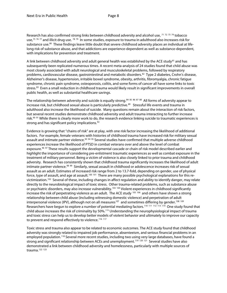<span id="page-8-14"></span>Research has also confirmed strong links between childhood adversity and alcohol use, <sup>[71](#page-10-0) [72](#page-10-1) [73](#page-10-2)</sup> <sup>[74](#page-10-3)</sup> tobacco use,<sup>[75](#page-10-4) [76](#page-10-5) [77](#page-10-6)</sup> and illicit drug use. <sup>[78](#page-10-7) [79](#page-10-8)</sup> In some studies, exposure to trauma in adulthood also increases risk for substance use.<sup>80</sup> These findings leave little doubt that severe childhood adversity places an individual at lifelong risk of substance abuse, and that addictions are experience-dependent as well as substance-dependent, with implications for prevention and treatment.

<span id="page-8-15"></span>A link between childhood adversity and adult general health was established by the ACE study<sup>[81](#page-10-10)</sup> and has subsequently been replicated numerous times. A recent meta-analysis of 24 studies found that child abuse was most closely associated with adult neurological and musculoskeletal problems, followed by respiratory problems, cardiovascular disease, gastrointestinal and metabolic disorders.[82](#page-10-11) Type 2 diabetes, Crohn's disease, Alzheimer's disease, hypertension, irritable bowel syndrome, obesity, arthritis, fibromyalgia, chronic fatigue syndrome, chronic pain syndrome, osteoporosis, colitis, and some forms of cancer all have some links to toxic stress.[83](#page-10-12) Even a small reduction in childhood trauma would likely result in significant improvements in overall public health, as well as substantial healthcare savings.

The relationship between adversity and suicide is equally strong.<sup>[84](#page-10-13) [85](#page-10-14) [86](#page-10-15)</sup> [87](#page-10-16) [88](#page-10-17) All forms of adversity appear to increase risk, but childhood sexual abuse is particularly predictive.<sup>89</sup> Stressful life events and trauma in adulthood also increase the likelihood of suicide. Many questions remain about the interaction of risk factors, but several recent studies demonstrate childhood adversity and adult trauma interacting to further increase risk.<sup>[90](#page-10-19) [91](#page-10-20)</sup> While there is clearly more work to do, the research evidence linking suicide to traumatic experiences is strong and has significant policy implications.<sup>[92](#page-10-0)</sup>

<span id="page-8-6"></span><span id="page-8-5"></span><span id="page-8-4"></span><span id="page-8-3"></span><span id="page-8-2"></span><span id="page-8-1"></span><span id="page-8-0"></span>Evidence is growing that "chains of risk" are at play, with one risk factor increasing the likelihood of additional factors. For example, female veterans with histories of childhood trauma have increased risk for military sexual assault and intimate partner violence.<sup>[93](#page-10-21) [94](#page-10-22) [95](#page-10-23)</sup> Several studies have confirmed that multiple adverse childhood experiences increase the likelihood of PTSD in combat veterans over and above the level of combat exposure.<sup>[96](#page-10-24) [97](#page-10-25)</sup> These results support the developmental cascade or chain of risk model described earlier and highlight the importance of considering pre-enlistment traumatic experiences as well as combat exposure in the treatment of military personnel. Being a victim of violence is also closely linked to prior trauma and childhood adversity. Research has consistently shown that childhood trauma significantly increases the likelihood of adult intimate partner violence.<sup>[98](#page-10-26) 99</sup> Similarly, sexual assault in childhood or adolescence increases risk of sexual assault as an adult. Estimates of increased risk range from 2 to 13.7-fold, depending on gender, use of physical force, type of assault, and age at assault.<sup>[100](#page-10-28) [101](#page-10-9)</sup> There are many possible psychological explanations for this revictimization.[102](#page-10-10) Several of these, including changes in affect regulation and ability to identify danger, may relate directly to the neurobiological impact of toxic stress. Other trauma-related problems, such as substance abuse or psychiatric disorders, may also increase vulnerability.<sup>[103](#page-10-29)</sup> <sup>[104](#page-10-11)</sup> Violent experiences in childhood significantly increase the risk of perpetrating violence as an adult. The ACE study  $105$  [106](#page-10-30) and others have shown a strong relationship between child abuse (including witnessing domestic violence) and perpetration of adult interpersonal violence (IPV), although not on all measures<sup>[107](#page-10-15)</sup> and sometimes differing by gender.<sup>[108](#page-10-31) [109](#page-10-17)</sup> Researchers have begun to explore a number of potential mediating factors.<sup>[110](#page-10-32) [111](#page-10-19)</sup> <sup>[112](#page-10-20)</sup> <sup>[113](#page-10-33)</sup> One study found that child abuse increases the risk of criminality by 50%.[115](#page-10-2) Understanding the neurophysiological impact of trauma and toxic stress can help us to develop better models of violent behavior and ultimately to improve our capacity to prevent and respond effectively to violence.<sup>[116](#page-10-35) [117](#page-10-23)</sup>

<span id="page-8-13"></span><span id="page-8-12"></span><span id="page-8-11"></span><span id="page-8-10"></span><span id="page-8-9"></span><span id="page-8-8"></span><span id="page-8-7"></span>Toxic stress and trauma also appear to be related to economic outcomes. The ACE study found that childhood adversity was strongly related to impaired job performance, absenteeism, and serious financial problems in an employed population.<sup>[118](#page-10-24)</sup> Several more recent studies, including two using very large databases, have found a strong and significant relationship between ACEs and unemployment.<sup>[119](#page-10-25) [120](#page-10-26)</sup> <sup>121</sup> Several studies have also demonstrated a link between childhood adversity and homelessness, particularly with multiple sources of trauma.[122](#page-10-9) [123](#page-10-10)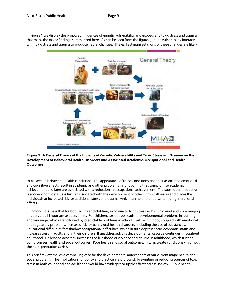<span id="page-9-22"></span><span id="page-9-21"></span><span id="page-9-20"></span><span id="page-9-1"></span><span id="page-9-0"></span>In Figure 1 we display the proposed influences of genetic vulnerability and exposure to toxic stress and trauma that maps the major findings summarized here. As can be seen from the figure, genetic vulnerability interacts with toxic stress and trauma to produce neural changes. The earliest manifestations of these changes are likely

<span id="page-9-2"></span>

# <span id="page-9-10"></span><span id="page-9-9"></span><span id="page-9-8"></span><span id="page-9-7"></span><span id="page-9-6"></span><span id="page-9-5"></span><span id="page-9-4"></span><span id="page-9-3"></span>**Figure 1. A General Theory of the Impacts of Genetic Vulnerability and Toxic Stress and Trauma on the Development of Behavioral Health Disorders and Associated Academic, Occupational and Health Outcomes**

<span id="page-9-13"></span><span id="page-9-12"></span><span id="page-9-11"></span>to be seen in behavioral health conditions. The appearance of these conditions and their associated emotional and cognitive effects result in academic and other problems in functioning that compromise academic achievement and later are associated with a reduction in occupational achievement. The subsequent reduction is socioeconomic status is further associated with the development of other chronic illnesses and places the individuals at increased risk for additional stress and trauma, which can help to underwrite multigenerational effects.

<span id="page-9-17"></span><span id="page-9-16"></span><span id="page-9-15"></span><span id="page-9-14"></span>*Summary.* It is clear that for both adults and children, exposure to toxic stressors has profound and wide ranging impacts on all important aspects of life. For children, toxic stress leads to developmental problems in learning and language, which are followed by predictable problems in school. Failure in school, coupled with emotional and regulatory problems, increases risk for behavioral health disorders, including the use of substances. Educational difficulties foreshadow occupational difficulties, which in turn depress socio-economic status and increase stress in adults and in their children. If unaddressed, this developmental cascade continues throughout adulthood. Childhood adversity increases the likelihood of violence and trauma in adulthood, which further compromises health and social outcomes. Poor health and social outcomes, in turn, create conditions which put the next generation at risk.

<span id="page-9-19"></span><span id="page-9-18"></span>This brief review makes a compelling case for the developmental antecedents of our current major health and social problems. The implications for policy and practice are profound. Preventing or reducing sources of toxic stress in both childhood and adulthood would have widespread ripple effects across society. Public health,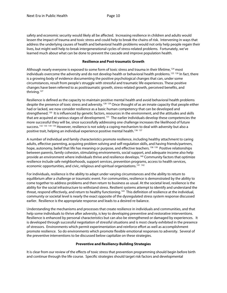<span id="page-10-31"></span><span id="page-10-15"></span>safety and economic security would likely all be affected. Increasing resilience in children and adults would lessen the impact of trauma and toxic stress and could help to break the chains of risk. Intervening in ways that address the underlying causes of health and behavioral health problems would not only help people regain their lives, but might well help to break intergenerational cycles of stress-related problems. Fortunately, we've learned much about what can be done to prevent the cascade and improve population health.

#### **Resilience and Post-traumatic Growth**

<span id="page-10-32"></span><span id="page-10-18"></span><span id="page-10-17"></span><span id="page-10-16"></span>Although nearly everyone is exposed to some form of toxic stress and trauma in their lifetime,  $124$  most individuals overcome the adversity and do not develop health or behavioral health problems.<sup>[125](#page-11-1)</sup> <sup>[126](#page-11-2)</sup> In fact, there is a growing body of evidence documenting the positive psychological changes that can, under some circumstances, result from people's struggle with stressful and traumatic life experiences. These positive changes have been referred to as posttraumatic growth, stress-related growth, perceived benefits, and thriving.[127](#page-11-3) 

<span id="page-10-34"></span><span id="page-10-33"></span><span id="page-10-20"></span><span id="page-10-19"></span><span id="page-10-1"></span><span id="page-10-0"></span>Resilience is defined as the capacity to maintain positive mental health and avoid behavioral health problems despite the presence of toxic stress and adversity.[128](#page-11-4) [129](#page-11-5) Once thought of as an innate capacity that people either had or lacked, we now consider resilience as a basic human competency that can be developed and strengthened.<sup>130</sup> It is influenced by genetic factors, resources in the environment, and the attitudes and skills that are acquired at various stages of development.<sup>[131](#page-11-7)</sup> The earlier individuals develop these competencies the more successful they will be, since successfully addressing one challenge increases the likelihood of future success.<sup>[132](#page-11-8) [133](#page-11-9)</sup> <sup>[134](#page-11-10) [135](#page-11-11)</sup> However, resilience is not solely a coping mechanism to deal with adversity but also a positive trait, helping an individual experience positive mental health.<sup>[136](#page-11-12) 137</sup>

<span id="page-10-35"></span><span id="page-10-24"></span><span id="page-10-23"></span><span id="page-10-22"></span><span id="page-10-21"></span><span id="page-10-4"></span><span id="page-10-3"></span><span id="page-10-2"></span>A number of individual and family characteristics promote resilience, including healthy attachment to caring adults, effective parenting, acquiring problem solving and self-regulation skills, and having friends/partners, hope, autonomy, belief that life has meaning or purpose, and effective teachers.<sup>[138](#page-11-14)</sup> <sup>139</sup> Positive relationships between parents, family cohesion, stimulating environments, social support, and adequate income also help provide an environment where individuals thrive and resilience develops. [140](#page-11-16) Community factors that optimize resilience include safe neighborhoods, support services, prevention programs, access to health services, economic opportunities, and civic, religious and spiritual organizations.<sup>[141](#page-11-17) 142</sup>

<span id="page-10-27"></span><span id="page-10-26"></span><span id="page-10-25"></span><span id="page-10-7"></span><span id="page-10-6"></span><span id="page-10-5"></span>For individuals, resilience is the ability to adapt under varying circumstances and the ability to return to equilibrium after a challenge or traumatic event. For communities, resilience is demonstrated by the ability to come together to address problems and then return to business as usual. At the societal level, resilience is the ability for the social infrastructure to withstand stress. Resilient systems attempt to identify and understand the threat, respond effectively, and return to healthy functioning.<sup>[143](#page-11-19)</sup> This definition of resilience at the individual, community or societal level is nearly the exact opposite of the dysregulated stress system response discussed earlier. Resilience is the appropriate response and leads to a desired re-balance.

<span id="page-10-29"></span><span id="page-10-28"></span><span id="page-10-11"></span><span id="page-10-10"></span><span id="page-10-9"></span><span id="page-10-8"></span>Understanding the mechanisms and processes that create resilience in individuals and communities, and that help some individuals to thrive after adversity, is key to developing preventive and restorative interventions. Resilience is enhanced by personal characteristics but can also be strengthened or damaged by experiences. It is developed through successful negotiation of stressful situations and is most clearly exhibited in the presence of stressors. Environments which permit experimentation and reinforce effort as well as accomplishment promote resilience. So do environments which promote flexible emotional responses to adversity. Several of the preventive interventions to be discussed below capitalize on these strategies.

## **Preventive and Resiliency-Building Strategies**

<span id="page-10-30"></span><span id="page-10-14"></span><span id="page-10-13"></span><span id="page-10-12"></span>It is clear from our review of the effects of toxic stress that prevention programming should begin before birth and continue through the life course. Specific strategies should target risk factors and developmental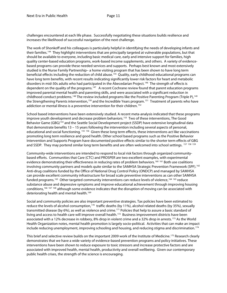<span id="page-11-4"></span>challenges encountered at each life phase. Successfully negotiating these situations builds resilience and increases the likelihood of successful navigation of the next challenge.

<span id="page-11-8"></span><span id="page-11-7"></span><span id="page-11-6"></span><span id="page-11-5"></span>The work of Shonkoff and his colleagues is particularly helpful in identifying the needs of developing infants and their families.[144](#page-12-0) They highlight interventions that are principally targeted at vulnerable populations, but that should be available to everyone, including basic medical care, early and intensive support for families, high quality center-based education programs, work-based income supplements, and others. A variety of evidencebased programs can provide these needed services and supports. Perhaps best known and most extensively studied is the Nurse Family Partnership– a home visiting program that has been shown to have long term beneficial effects including the reduction of child abuse.<sup>[145](#page-12-1)</sup> Quality, early childhood educational programs can have long term benefits, with recent results indicating significantly lower risk factors for heart and metabolic disorders in mid-30s adults who had participated in the Abecedarian Project.<sup>146</sup> The strength of effects is dependent on the quality of the programs.<sup>[147](#page-12-3)</sup> A recent Cochrane review found that parent education programs improved parental mental health and parenting skills, and were associated with a significant reduction in childhood conduct problems.<sup>[148](#page-12-4)</sup> The review included programs like the Positive Parenting Program (Triple P),<sup>149</sup> the Strengthening Parents intervention,<sup>[150](#page-12-6)</sup> and the Incredible Years program.<sup>151</sup> Treatment of parents who have addiction or mental illness is a preventive intervention for their children.<sup>[152](#page-12-8)</sup>

<span id="page-11-13"></span><span id="page-11-12"></span><span id="page-11-11"></span><span id="page-11-10"></span><span id="page-11-9"></span>School based interventions have been extensively studied. A recent meta-analysis indicated that these programs improve youth development and decrease problem behaviors.<sup>[153](#page-12-9)</sup> Two of these interventions, The Good Behavior Game (GBG)<sup>[154](#page-12-10)</sup> and the Seattle Social Development project (SSDP) have extensive longitudinal data that demonstrate benefits 13 – 15 years following the intervention including several aspects of personal, educational and social functioning. [155](#page-12-11) [156](#page-12-12) Given these long term effects, these interventions act like vaccinations promoting long term resilience and good health. Other school based programs such as the Positive Behavior Intervention and Supports Program have documented positive effects similar to the shorter term effects of GBG and SSDP. They may portend similar long term benefits and are often welcomed into school settings. [157](#page-12-13) [158](#page-12-14) [159](#page-12-15)

<span id="page-11-19"></span><span id="page-11-18"></span><span id="page-11-17"></span><span id="page-11-16"></span><span id="page-11-15"></span><span id="page-11-14"></span>Community-wide interventions are intended to respond to local risk factors through organized communitybased efforts. Communities that Care (CTC) and PROSPER are two excellent examples, with experimental evidence demonstrating their effectiveness in reducing rates of problem behaviors.<sup>[160](#page-12-16) [161](#page-12-17)</sup> Both use coalitions involving community partners and models quite similar to the SAMHSA Strategic Prevention Framework (SPF).<sup>[162](#page-12-18)</sup> Anti-drug coalitions funded by the Office of National Drug Control Policy (ONDCP) and managed by SAMHSA can provide excellent community infrastructure for broad scale preventive interventions as can other SAMHSA funded programs.<sup>163</sup> Other targeted community interventions can reduce levels of violence,<sup>[164](#page-12-20) [165](#page-12-21)</sup> reduce substance abuse and depressive symptoms and improve educational achievement through improving housing conditions, <sup>[166](#page-12-0) [167](#page-12-1)</sup> <sup>[168](#page-12-2)</sup> although some evidence indicates that the disruption of moving can be associated with deteriorating health and mental health.<sup>[169](#page-12-3)</sup>

Social and community policies are also important preventive strategies. Tax policies have been estimated to reduce the levels of alcohol consumption,<sup>[170](#page-12-4)</sup> traffic deaths (by 11%), alcohol related deaths (by 35%), sexually transmitted disease (by 6%), as well as violence and crime.<sup>[171](#page-12-22)</sup> Policies that help to assure a basic standard of living and access to health care will improve overall health.<sup>172</sup> Business improvement districts have been associated with a 12% decrease in robbery, 8% drop in violent crime and a 32% drop in arrests.<sup>[173](#page-12-6)</sup> As the World Health Organization notes, mental health promotion is largely socio-political. Activities that can make an impact include reducing unemployment, improving schooling and housing, and reducing stigma and discrimination. [174](#page-12-24)

<span id="page-11-3"></span><span id="page-11-2"></span><span id="page-11-1"></span><span id="page-11-0"></span>This brief and selective review builds on the important 2009 work of the Institute of Medicine.<sup>[175](#page-12-8)</sup> Research clearly demonstrates that we have a wide variety of evidence-based prevention programs and policy initiatives. These interventions have been shown to reduce exposure to toxic stressors and increase protective factors and are associated with improved health, mental health, productivity and overall wellbeing. Given our contemporary public health crises, the strength of the science is encouraging.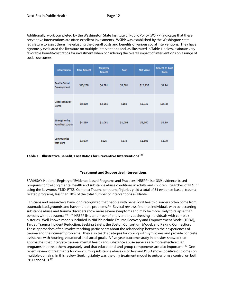<span id="page-12-12"></span><span id="page-12-11"></span><span id="page-12-10"></span><span id="page-12-9"></span><span id="page-12-8"></span>Additionally, work completed by the Washington State Institute of Public Policy (WSIPP) indicates that these preventive interventions are often excellent investments. WSIPP was established by the Washington state legislature to assist them in evaluating the overall costs and benefits of various social interventions. They have rigorously evaluated the literature on multiple interventions and, as illustrated in Table 1 below, estimate very favorable benefit/cost ratios for investment when considering the overall impact of interventions on a range of social outcomes.

<span id="page-12-13"></span>

| <b>Intervention</b>                             | <b>Total Benefit</b> | <b>Taxpayer</b><br><b>Benefit</b> | Cost    | <b>Net Value</b> | <b>Benefit to Cost</b><br>Ratio |
|-------------------------------------------------|----------------------|-----------------------------------|---------|------------------|---------------------------------|
| Seattle Social<br>Development                   | \$15,238             | \$4,591                           | \$3,081 | \$12,157         | \$4.94                          |
| <b>Good Behavior</b><br>Game                    | \$8,890              | \$2,655                           | \$158   | \$8,732          | \$56.34                         |
| <b>Strengthening</b><br><b>Families (10-14)</b> | \$4,259              | \$1,061                           | \$1,098 | \$3,160          | \$3.89                          |
| <b>Communities</b><br>that Care                 | \$2,079              | \$626                             | \$574   | \$1,505          | \$3.70                          |

<span id="page-12-20"></span><span id="page-12-19"></span><span id="page-12-18"></span><span id="page-12-17"></span><span id="page-12-16"></span><span id="page-12-15"></span><span id="page-12-14"></span>**Table 1. Illustrative Benefit/Cost Ratios for Preventive Interventions[176](#page-13-0)**

## **Treatment and Supportive Interventions**

<span id="page-12-21"></span><span id="page-12-0"></span>SAMHSA's National Registry of Evidence-based Programs and Practices (NREPP) lists 339 evidence-based programs for treating mental health and substance abuse conditions in adults and children. Searches of NREPP using the keywords PTSD, PTSS, Complex Trauma or trauma/injuries yield a total of 31 evidence-based, traumarelated programs, less than 10% of the total number of interventions available.

<span id="page-12-24"></span><span id="page-12-23"></span><span id="page-12-22"></span><span id="page-12-7"></span><span id="page-12-6"></span><span id="page-12-5"></span><span id="page-12-4"></span><span id="page-12-3"></span><span id="page-12-2"></span><span id="page-12-1"></span>Clinicians and researchers have long recognized that people with behavioral health disorders often come from traumatic backgrounds and have multiple problems.[177](#page-13-1) Several reviews find that individuals with co-occurring substance abuse and trauma disorders show more severe symptoms and may be more likely to relapse than persons without trauma.<sup>[178](#page-13-2)</sup> <sup>[179](#page-13-3)</sup> NREPP lists a number of interventions addressing individuals with complex histories. Well-known models included in NREPP include Trauma Recovery and Empowerment Model (TREM), Target, Trauma Incident Reduction, Seeking Safety, the Boston Consortium Model, and Risking Connection. These approaches often involve teaching participants about the relationship between their experiences of trauma and their current problems. They also teach strategies for coping with symptoms and provide concrete assistance with housing, vocational and social goals. A five-year outcome study in ten sites showed that approaches that integrate trauma, mental health and substance abuse services are more effective than programs that treat them separately, and that educational and group components are also important.[180](#page-13-4) One recent review of treatments for co-occurring substance abuse disorders and PTSD shows positive outcomes on multiple domains. In this review, Seeking Safety was the only treatment model to outperform a control on both PTSD and SUD.<sup>[181](#page-13-5)</sup>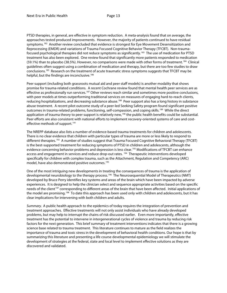PTSD therapies, in general, are effective in symptom reduction. A meta-analysis found that on average, the approaches tested produced improvements. However, the majority of patients continued to have residual symptoms.<sup>182</sup> Another review concluded that evidence is strongest for Eye Movement Desensitization and Reprocessing (EMDR) and variations of Trauma Focused Cognitive Behavior Therapy (TFCBT). Non-traumafocused psychological therapies did not reduce symptoms as significantly.[183](#page-14-1) The use of medication for PTSD treatment has also been explored. One review found that significantly more patients responded to medication (59.1%) than to placebo (38.5%). However, no comparisons were made with other forms of treatment.<sup>[184](#page-14-2)</sup> Clinical guidelines often suggest using a combination of medication and therapy, but there are too few studies to draw conclusions.<sup>[185](#page-14-3)</sup> Research on the treatment of acute traumatic stress symptoms suggests that TFCBT may be helpful, but the findings are inconclusive.<sup>[186](#page-14-4)</sup>

<span id="page-13-4"></span><span id="page-13-3"></span><span id="page-13-2"></span><span id="page-13-1"></span><span id="page-13-0"></span>Peer support (including both grassroots mutual aid and peer staff models) is another modality that shows promise for trauma-related conditions. A recent Cochrane review found that mental health peer services are as effective as professionally run services.<sup>[187](#page-14-5)</sup> Other reviews reach similar and sometimes more positive conclusions, with peer models at times outperforming traditional services on measures of engaging hard-to-reach clients, reducing hospitalizations, and decreasing substance abuse.<sup>188</sup> Peer support also has a long history in substance abuse treatment. A recent pilot outcome study of a peer-led Seeking Safety program found significant positive outcomes in trauma-related problems, functioning, self-compassion, and coping skills.[189](#page-14-7) While the direct application of trauma theory to peer support is relatively new,<sup>[190](#page-14-8)</sup> the public health benefits could be substantial. Peer efforts are also consistent with national efforts to implement recovery-oriented systems of care and cost-effective methods of support.<sup>[191](#page-14-9)</sup>

<span id="page-13-5"></span>The NREPP database also lists a number of evidence-based trauma treatments for children and adolescents. There is no clear evidence that children with particular types of trauma are more or less likely to respond to different therapies.<sup>[192](#page-14-10)</sup> A number of studies suggest that Trauma Focused Cognitive Behavioral Therapy (TFCBT) is the best-supported treatment for reducing symptoms of PTSD in children and adolescents, although the evidence concerning behavior problems and depression is less clear.<sup>[193](#page-14-11)</sup> Modifications of TFCBT can enhance access and engagement in services and reduce drop-out rates.<sup>[194](#page-14-12)</sup> Therapeutic interventions developed specifically for children with complex trauma, such as the Attachment, Regulation and Competency (ARC) model, have also demonstrated positive outcomes. [195](#page-14-13)

One of the most intriguing new developments in treating the consequences of trauma is the application of developmental neurobiology to the therapy process.<sup>[196](#page-14-14)</sup> The Neurosequential Model of Therapeutics (NMT) developed by Bruce Perry identifies key systems and areas of the brain which have been impacted by adverse experiences. It is designed to help the clinician select and sequence appropriate activities based on the specific needs of the client<sup>[197](#page-14-15)</sup> corresponding to different areas of the brain that have been affected. Initial applications of the model are promising.<sup>198</sup> To date this approach has been used only with children and adolescents, but it has clear implications for intervening with both children and adults.

*Summary.* A public health approach to the epidemics of today requires the integration of prevention and treatment approaches. Effective treatments will not only assist individuals who have already developed problems, but may help to interrupt the chains of risk discussed earlier. Even more importantly, effective treatment has the potential to intervene in intergenerational cycles of violence and trauma by reducing risk factors for the next generation. This brief summary of treatment interventions indicates that there is a growing science base related to trauma treatment. This literature continues to mature as the field realizes the importance of trauma and toxic stress in the development of behavioral health conditions. Our hope is that by summarizing this literature and presenting a life course developmental epidemiology we will stimulate the development of strategies at the federal, state and local level to implement effective solutions as they are discovered and validated.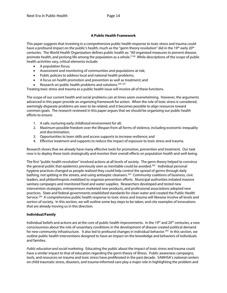# **A Public Health Framework**

<span id="page-14-13"></span>This paper suggests that investing in a comprehensive public health response to toxic stress and trauma could have a profound impact on the public's health, much as the "germ theory revolution" did in the 19<sup>th</sup> early 20<sup>th</sup> centuries. The World Health Organization defines public health as: "All organized measures to prevent disease, promote health, and prolong life among the population as a whole."<sup>[199](#page-15-0)</sup> While descriptions of the scope of public health activities vary, critical elements include:

- <span id="page-14-14"></span>• A population focus;
- Assessment and monitoring of communities and populations at risk;
- Public policies to address local and national health problems;
- A focus on health promotion and prevention as well as treatment; and
- Research on public health problems and solutions.<sup>[200](#page-15-1)</sup><sup>[201](#page-15-2)</sup>

<span id="page-14-16"></span><span id="page-14-15"></span>Treating toxic stress and trauma as a public health issue will involve all of these functions.

The scope of our current health and social problems can at times seem overwhelming. However, the arguments advanced in this paper provide an organizing framework for action. When the role of toxic stress is considered, seemingly disparate problems are seen to be related, and it becomes possible to align resources toward common goals. The research reviewed in this paper argues that we should be organizing our public health efforts to ensure:

- 1. A safe, nurturing early childhood environment for all;
- 2. Maximum possible freedom over the lifespan from all forms of violence, including economic inequality and discrimination;
- 3. Opportunities to learn skills and access supports to increase resilience; and
- 4. Effective treatment and supports to reduce the impact of exposure to toxic stress and trauma.

<span id="page-14-2"></span><span id="page-14-1"></span><span id="page-14-0"></span>Research shows that we already have many effective tools for promotion, prevention and treatment. Our task now is to deploy these tools strategically and monitor their overall effects on population health and well-being.

<span id="page-14-6"></span><span id="page-14-5"></span><span id="page-14-4"></span><span id="page-14-3"></span>The first "public health revolution" involved actions at all levels of society. The germ theory helped to convince the general public that epidemics previously seen as inevitable could be avoided.<sup>[202](#page-15-3)</sup> Individual personal hygiene practices changed as people realized they could help control the spread of germs through daily bathing, not spitting in the streets, and using antiseptic cleansers.<sup>[203](#page-15-4)</sup> Community coalitions of business, civic leaders, and philanthropists mobilized to organize prevention efforts. Municipal authorities initiated massive sanitary campaigns and monitored food and water supplies. Researchers developed and tested new intervention strategies, entrepreneurs marketed new products, and professional associations adopted new practices. State and federal governments established standards for clean water and created the Public Health Service.<sup>204</sup> A comprehensive public health response to toxic stress and trauma will likewise involve all levels and sectors of society. In this section, we will outline some key steps to be taken, and cite examples of innovations that are already moving us in this direction.

## <span id="page-14-9"></span><span id="page-14-8"></span><span id="page-14-7"></span>**Individual/Family**

<span id="page-14-10"></span>Individual beliefs and actions are at the core of public health improvements. In the 19<sup>th</sup> and 20<sup>th</sup> centuries, a new consciousness about the role of unsanitary conditions in the development of disease created political demand for new community infrastructure. It also led to profound changes in individual behavior.<sup>205</sup> In this section, we outline public health interventions designed to have an impact on the knowledge and behaviors of individuals and families.

<span id="page-14-12"></span><span id="page-14-11"></span>*Public education and social marketing*. Educating the public about the impact of toxic stress and trauma could have a similar impact to that of education regarding the germ theory of illness. Public awareness campaigns, tools, and resources on trauma and toxic stress have proliferated in the past decade. SAMHSA's national centers on child traumatic stress, disasters, and trauma-informed care play a major role in highlighting the problem and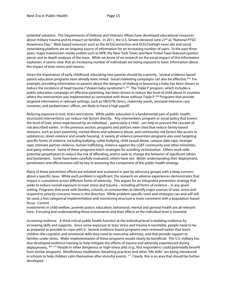potential solutions. The Departments of Defense and Veterans Affairs have developed educational resources about military trauma and its impact on families. In 2011, the U.S. Senate declared June 27<sup>th</sup> as "National PTSD Awareness Day." Web-based resources such as the ACEsConnection and ACEsTooHigh news site and social networking platform are an ongoing source of information for an increasing number of users. In the past three years, major mainstream media outlets such as NPR, the New York Times and New Yorker have featured opinion pieces and in-depth analyses of the issue. While we know of no research on the social impact of this information explosion, it seems clear that an increasing number of individuals are being exposed to basic information about the impact of toxic stress and trauma.

Given the importance of early childhood, educating new parents should be a priority. Several evidence-based parent education programs have already been noted. Social marketing campaigns can also be effective.<sup>206</sup> For example, providing information to parents about the dangers of shaking or bouncing a baby has been shown to reduce the incidence of head trauma ("shaken baby syndrome").<sup>207</sup> The Triple P program, which includes a public education campaign on effective parenting, has been shown to reduce the level of child abuse in counties where the intervention was implemented as contrasted with those without Triple P.<sup>[208](#page-16-2)</sup> Programs that provide targeted information in relevant settings, such as OB/GYN clinics, maternity wards, neonatal intensive care nurseries, and pediatricians' offices, are likely to have a high payoff.

<span id="page-15-3"></span><span id="page-15-2"></span><span id="page-15-1"></span><span id="page-15-0"></span>*Reducing exposure to toxic stress and trauma*. While public education is a fundamental part of public health, structured interventions can reduce risk factors directly. Any intervention, program or social policy that lowers the level of toxic stress experienced by an individual – particularly a child - can help to prevent the cascade of risk described earlier. In the previous section, programs and policies were cited that reduce family-based stressors, such as poor parenting, mental illness and substance abuse; and community risk factors like access to substances, street violence and unsafe housing. A variety of violence prevention programs also exist targeting specific forms of violence, including bullying, cyber-bullying, child sexual abuse, campus date rape, stranger rape, intimate partner violence, human trafficking, violence against the LGBT community and other minorities, and gang violence. Some of these programs teach strategies for avoiding victimization. Others work with potential perpetrators to reduce the risk of offending, and/or seek to change the behavior of significant others and bystanders. Some have been carefully evaluated, others have not. Better understanding their deployment, penetration and effectiveness will be key to assessing this component of the public health strategy.

<span id="page-15-6"></span><span id="page-15-5"></span><span id="page-15-4"></span>Many of these prevention efforts are initiated and sustained in part by advocacy groups with a deep concern about a specific issue. While each problem is significant, the research on adverse experiences demonstrates that impact is cumulative across different forms of adversity. This argues for an integrated prevention strategy that seeks to reduce overall exposure to toxic stress and trauma – including all forms of violence – in any given setting. Programs that work with families, schools, or communities to identify major sources of toxic stress and respond to priority concerns move in this direction. While problem-specific tools and strategies can and will still be used, a less categorical implementation and monitoring structure is more consistent with a population-based focus. Current

investments in child welfare, juvenile justice, education, behavioral, mental and general health are all relevant here. Focusing and understanding these investments and their effects at the individual level is essential.

*Increasing resilience*. A third critical public health function at the individual level is building resilience by increasing skills and supports. Since some exposure to toxic stress and trauma is inevitable, people need to be as prepared as possible to cope with it. Several evidence-based programs were reviewed earlier that teach children the cognitive and emotional skills they need to overcome adversity, and that provide support to families under stress. Wider implementation of these programs would clearly be beneficial. The U.S. military has also developed resilience training to help mitigate the effects of trauma and adversity experienced during deployments. <sup>[209](#page-16-3) [210](#page-16-4)</sup> People in other dangerous or high-stress jobs (e.g., first responders) could potentially benefit from similar programs. Mindfulness meditation, breathing practices and other "life skills" are being introduced in schools to help children calm themselves after stressful events.  $211$  Clearly, this is an area that should be further developed.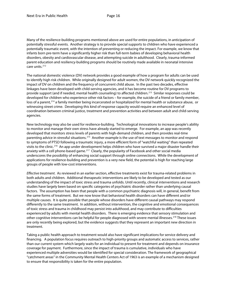Many of the resilience-building programs mentioned above are used for entire populations, in anticipation of potentially stressful events. Another strategy is to provide special supports to children who have experienced a potentially traumatic event, with the intention of preventing or reducing the impact. For example, we know that infants born pre-term have a significantly higher risk than full-term babies of developing behavioral health disorders, obesity and cardiovascular disease, and attempting suicide in adulthood. Clearly, trauma-informed parent education and resiliency-building programs should be routinely made available in neonatal intensive care units.<sup>[212](#page-17-0)</sup>

The national domestic violence (DV) network provides a good example of how a program for adults can be used to identify high risk children. While originally designed for adult women, the DV network quickly recognized the impact of DV on children and the frequency of concurrent child abuse. In the past two decades, effective linkages have been developed with child-serving agencies, and it has become routine for DV programs to provide support (and if needed, mental health counseling) to affected children.<sup>[213](#page-17-1)</sup> Similar responses could be developed for children who experience other risk factors – for example, the suicide of a friend or family member, loss of a parent,<sup>[214](#page-17-2)</sup> a family member being incarcerated or hospitalized for mental health or substance abuse, or witnessing street crime. Developing this kind of response capacity would require an enhanced level of coordination between criminal justice, treatment and prevention activities and between adult and child-serving agencies.

New technology may also be used for resilience-building. Technological innovations to increase people's ability to monitor and manage their own stress have already started to emerge. For example, an app was recently developed that monitors stress levels of parents with high-demand children, and then provides real-time parenting advice in stressful situations.[215](#page-17-3) Another example is the use of text messages to monitor and respond to symptoms of PTSD following a traumatic injury, a more efficient form of "watchful waiting" than repeated visits to the clinic.<sup>[216](#page-17-4)</sup> An app under development helps children who have survived a major disaster handle their anxiety with a cell phone-based game.<sup>217</sup> Clearly, the popularity of Facebook and other social media underscores the possibility of enhancing social support through online connections. While the development of applications for resilience-building and prevention is a very new field, the potential is high for reaching large groups of people with low-cost interventions.

<span id="page-16-4"></span><span id="page-16-3"></span><span id="page-16-2"></span><span id="page-16-1"></span><span id="page-16-0"></span>*Effective treatment*. As reviewed in an earlier section, effective treatments exist for trauma-related problems in both adults and children. Additional therapeutic interventions are likely to be developed and tested as our understanding of the impact of toxic stress and trauma unfolds. Until recently, clinical interventions and research studies have largely been based on specific categories of psychiatric disorder rather than underlying causal factors. The assumption has been that people with a common psychiatric diagnosis will, in general, benefit from the same forms of treatment. But we now know that behavioral health disorders can have different and/or multiple causes. It is quite possible that people whose disorders have different causal pathways may respond differently to the same treatment. In addition, without intervention, the cognitive and emotional consequences of toxic stress and trauma in childhood may persist into adulthood, and may contribute to difficulties experienced by adults with mental health disorders. There is emerging evidence that sensory stimulation and other cognitive interventions can be helpful for people diagnosed with severe mental illnesses.[218](#page-17-6) These issues are only recently being explored, but the evidence suggests that they represent an important new direction in treatment.

<span id="page-16-5"></span>Taking a public health approach to treatment would also have significant implications for service delivery and financing. A population focus requires outreach to high-priority groups and automatic access to services, rather than our current system which largely waits for an individual to present for treatment and depends on insurance coverage for payment. Furthermore, since the impact of trauma is cumulative, individuals who have experienced multiple adversities would be identified for special consideration. The framework of geographical "catchment areas" in the Community Mental Health Centers Act of 1963 is an example of a mechanism designed to ensure that responsibility is taken for the entire population.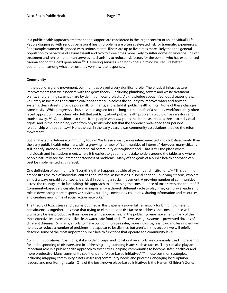<span id="page-17-6"></span><span id="page-17-5"></span><span id="page-17-4"></span>In a public health approach, treatment and support are considered in the larger context of an individual's life. People diagnosed with serious behavioral health problems are often at elevated risk for traumatic experiences. For example, women diagnosed with serious mental illness are up to five times more likely than the general population to be victims of sexual assault and two to three times more likely to suffer domestic violence.<sup>[219](#page-18-0)</sup> Both treatment and rehabilitation can serve as mechanisms to reduce risk factors for the person who has experienced trauma and for the next generation.<sup>220</sup> Delivering services with both goals in mind will require better coordination among what are currently very discrete responses.

## **Community**

In the public hygiene movement, communities played a very significant role. The physical infrastructure improvements that we associate with the germ theory – including plumbing, sewers and waste treatment plants, and draining swamps – are by definition local projects. As knowledge about infectious diseases grew, voluntary associations and citizen coalitions sprang up across the country to improve water and sewage systems, clean streets, provide pure milk for infants, and establish public health clinics. None of these changes came easily. While progressive businessmen argued for the long-term benefit of a healthy workforce, they often faced opposition from others who felt that publicity about public health problems would drive investors and tourists away. <sup>[221](#page-18-2)</sup> Opposition also came from people who saw public health measures as a threat to individual rights, and in the beginning, even from physicians who felt that the approach weakened their personal relationship with patients.[222](#page-18-3) Nonetheless, in the early years it was community associations that led the reform movement.

But what exactly defines a community today? We live in a vastly more interconnected and globalized world than the early public health reformers, with a growing number of "communities of interest." However, many citizens still identify strongly with their geographical community or neighborhood. That is still the place where individuals and institutions meet, where it is easiest to get different stakeholders around the table, and where people naturally see the interconnectedness of problems. Many of the goals of a public health approach can best be implemented at this level.

One definition of community is "Everything that happens outside of systems and institutions."<sup>[223](#page-18-4)</sup> This definition emphasizes the role of individual citizens and informal associations in social change. Involving citizens, who are almost always unpaid volunteers, is critical in building a social movement. A growing number of communities across the country are, in fact, taking this approach to addressing the consequence of toxic stress and trauma.<sup>224</sup> Community-based services also have an important – although different - role to play. They can play a leadership role in developing more responsive services, building community coalitions, sharing information and resources, and creating new forms of social action networks.<sup>225</sup>

<span id="page-17-0"></span>The theory of toxic stress and trauma outlined in this paper is a powerful framework for bringing different constituencies together. It is clear that trying to eliminate one risk factor or address one consequence will ultimately be less productive than more systemic approaches. In the public hygiene movement, many of the most effective interventions – like clean water, safe food and effective sewage systems – prevented dozens of different diseases. Similarly, efforts to make our communities safer, more inclusive, less toxic and less violent will help us to reduce a number of problems that appear to be distinct, but aren't. In this section, we will briefly describe some of the most important public health functions that operate at a community level.

<span id="page-17-3"></span><span id="page-17-2"></span><span id="page-17-1"></span>*Community coalitions*. Coalitions, stakeholder groups, and collaborative efforts are commonly used in preparing for and responding to disasters and in addressing long-standing issues such as racism. They can also play an important role in a public health approach to toxic stress, helping communities to become safer, healthier and more productive. Many community coalitions and "place-based initiatives"<sup>[226](#page-18-7) [227](#page-18-8)</sup> use common strategies, including mapping community assets, assessing community needs and priorities, engaging local opinion leaders, and monitoring results. One of the best known place-based initiatives is the Harlem Children's Zone.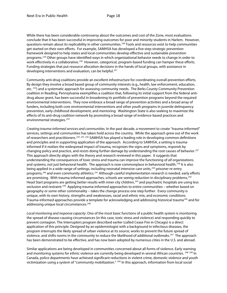While there has been considerable controversy about the outcomes and cost of the Zone, most evaluations conclude that it has been successful in improving outcomes for poor and minority students in Harlem. However, questions remain about its replicability in other communities.<sup>[228](#page-19-0)</sup> Tools and resources exist to help communities get started on their own efforts. For example, SAMHSA has developed a five-step strategic prevention framework designed to help states and local communities develop effective and sustainable prevention programs.[229](#page-19-1) Other groups have identified ways in which organizational behavior needs to change in order to work effectively in a collaborative.<sup>[230](#page-19-2)</sup> However, categorical, program-based funding can hamper these efforts. Funding strategies that put resource allocation decisions in the hands of local groups, with assistance in developing interventions and evaluation, can be helpful.<sup>[231](#page-19-3)</sup>

<span id="page-18-4"></span><span id="page-18-3"></span><span id="page-18-2"></span><span id="page-18-1"></span><span id="page-18-0"></span>Community anti-drug coalitions provide an excellent infrastructure for coordinating overall prevention efforts. By design they involve a broad based group of community interests (e.g., health, law enforcement, education, etc. <sup>[232](#page-19-4)</sup>) and a systematic approach for assessing community needs. The Berks County Community Prevention coalition in Reading, Pennsylvania exemplifies a coalition that, following its initial support from the federal antidrug abuse grant, has been successful in broadening its portfolio of prevention programs beyond the required environmental interventions. They now embrace a broad range of prevention activities and a broad array of funders, including both core environmental interventions and other youth programs in juvenile delinquency prevention, early childhood development, and mentoring. Washington State is also seeking to maximize the effects of its anti-drug coalition network by promoting a broad range of evidence-based practices and environmental strategies.<sup>[233](#page-19-5)</sup>

<span id="page-18-8"></span><span id="page-18-7"></span><span id="page-18-6"></span><span id="page-18-5"></span>*Creating trauma-informed services and communities.* In the past decade, a movement to create "trauma-informed" services, settings and communities has taken hold across the country. While the approach grew out of the work of researchers and practitioners.<sup>[234](#page-19-6) [235](#page-19-7)</sup> 2<sup>36</sup> SAMHSA has played a leading role in developing common definitions and principles and in supporting application of the approach. According to SAMHSA, a setting is traumainformed if it *realizes* the widespread impact of trauma, *recognizes* the signs and symptoms, *responds* by changing policy and practice, and *resists* doing further damage by understanding the root causes of behavior.[237](#page-19-9)  This approach directly aligns with the theory and research reviewed in this paper. It suggests that understanding the consequences of toxic stress and trauma can improve the functioning of *all* organizations and systems, not just behavioral health. The approach is now commonplace in behavioral health.<sup>[238](#page-19-10)</sup> It is also being applied in a wide range of settings, including neonatal intensive care units,<sup>[239](#page-19-11)</sup> prisoner re-entry programs,<sup>[240](#page-19-12)</sup> and even community athletics.<sup>[241](#page-19-13)</sup> Although careful implementation research is needed, early efforts are promising. With trauma-informed approaches, schools are seeing reduction in disciplinary problems, <sup>[242](#page-19-14)</sup> Head Start programs are getting better results with inner city children,<sup>[243](#page-19-15)</sup> and psychiatric hospitals are using less seclusion and restraint.<sup>244</sup> Applying trauma-informed approaches to entire communities – whether based on geography or some other commonality – takes the change process one step further. Every community is unique, with its own history, strengths and weaknesses, racial and ethnic mix, and economic conditions. Trauma-informed approaches provide a template for acknowledging and addressing historical trauma<sup>[245](#page-19-17)</sup> and for addressing unique local circumstances.<sup>[246](#page-19-18)</sup>

*Local monitoring and response capacity*. One of the most basic functions of a public health system is monitoring the spread of disease-causing circumstances (in this case, toxic stress and violence) and responding quickly to prevent contagion. The Interrupters program described earlier (called Cease Fire in Chicago) is a direct application of this principle. Designed by an epidemiologist with a background in infectious diseases, the program interrupts the likely spread of urban violence at its source, works to prevent the future spread of violence, and shifts norms in the community to reduce the likelihood of additional outbreaks.<sup>[247](#page-19-19)</sup> The approach has been demonstrated to be effective, and has now been adopted by numerous cities in the U.S. and abroad.

Similar applications are being developed in communities concerned about all forms of violence. Early warning and monitoring systems for ethnic violence are currently being developed in several African countries. <sup>[248](#page-19-20) [249](#page-19-21)</sup> In Canada, police departments have achieved significant reductions in violent crime, domestic violence and youth victimization using a system of "community mobilization." <sup>[250](#page-19-22)</sup> In this approach, information from local social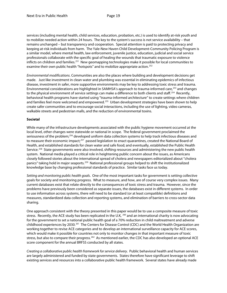<span id="page-19-15"></span><span id="page-19-14"></span>services (including mental health, child services, education, probation, etc.) is used to identify at-risk youth and to mobilize needed action within 24 hours. The key to the system's success is not service availability – that remains unchanged – but transparency and cooperation. Special attention is paid to protecting privacy and keeping at-risk individuals from harm. The Yale-New Haven Child Development-Community Policing Program is a similar model, where mental health, law enforcement, juvenile justice, education, judicial and social service professionals collaborate with the specific goal of healing the wounds that traumatic exposure to violence inflicts on children and families.[251](#page-20-0) New geomapping technologies make it possible for local communities to examine their own public health "hotspots" and to mobilize appropriate action.<sup>[252](#page-20-1)</sup>

<span id="page-19-19"></span><span id="page-19-18"></span><span id="page-19-17"></span><span id="page-19-16"></span>*Environmental modifications*. Communities are also the places where building and development decisions get made. Just like investment in clean water and plumbing was essential in eliminating epidemics of infectious disease, investment in safer, more supportive environments may be key to addressing toxic stress and trauma. Environmental considerations are highlighted in SAMHSA's approach to trauma-informed care,<sup>[253](#page-20-2)</sup> and changes to the physical environment of service settings can make a difference to both clients and staff.<sup>[254](#page-20-3)</sup> Recently, behavioral health programs have started using "trauma-informed architecture" to create settings where children and families feel more welcomed and empowered.<sup>255</sup> Urban development strategies have been shown to help create safer communities and to encourage social interactions, including the use of lighting, video cameras, walkable streets and pedestrian malls, and the reduction of environmental toxins.

### <span id="page-19-22"></span><span id="page-19-21"></span><span id="page-19-20"></span>**Societal**

<span id="page-19-0"></span>While many of the infrastructure developments associated with the public hygiene movement occurred at the local level, other changes were statewide or national in scope. The federal government proclaimed the seriousness of the problem;<sup>[256](#page-20-5)</sup> developed uniform data collection systems to help track infectious diseases and to measure their economic impact;<sup>257</sup> passed legislation to enact quarantines, created the National Board of Health, and established standards for clean water and safe food; and eventually, established the Public Health Service.<sup>258</sup> State governments were also involved, shifting resources and administering the new public health system. National media played a critical role in heightening public concern about the issues, as Americans closely followed stories about the international spread of cholera and newspapers editorialized about "cholera panics" taking hold in major seaports.<sup>259</sup> National professional groups helped to shift the institutionalized knowledge base by changing professional standards of practice. Similar tasks face us today.

<span id="page-19-5"></span><span id="page-19-4"></span><span id="page-19-3"></span><span id="page-19-2"></span><span id="page-19-1"></span>*Setting and monitoring public health goals*. One of the most important tasks for government is setting collective goals for society and monitoring progress. What to measure, and how, are of course very complex issues. Many current databases exist that relate directly to the consequences of toxic stress and trauma. However, since the problems have previously been considered as separate issues, the databases exist in different systems. In order to use information across systems, there will need to be standard (or at least compatible) definitions and measures, standardized data collection and reporting systems, and elimination of barriers to cross-sector data sharing.

<span id="page-19-10"></span><span id="page-19-9"></span><span id="page-19-8"></span><span id="page-19-7"></span><span id="page-19-6"></span>One approach consistent with the theory presented in this paper would be to use a composite measure of toxic stress. Recently, the ACE study has been replicated in the U.K, <sup>[260](#page-20-9)</sup> and an international charity is now advocating for the government to set a national public health goal of a 70% reduction in child maltreatment and adverse childhood experiences by 2030.<sup>261</sup> The Centers for Disease Control (CDC) and the World Health Organization are working together to revise ACE categories and to develop an international surveillance capacity for ACE scores, which would make it possible for countries not only to monitor changes in that important measure of toxic stress, but also to compare their progress.<sup>[262](#page-20-11)</sup> As mentioned earlier, the CDC has also developed an optional ACE score component for the annual BRFSS conducted by all states.

<span id="page-19-13"></span><span id="page-19-12"></span><span id="page-19-11"></span>*Creating a collaborative public health framework for service delivery*. Public behavioral health and human services are largely administered and funded by state governments. States therefore have significant leverage to shift existing services and resources into a collaborative public health framework. Several states have already made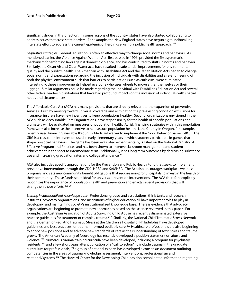significant strides in this direction. In some regions of the country, states have also started collaborating to address issues that cross state borders. For example, the New England states have begun a groundbreaking interstate effort to address the current epidemic of heroin use, using a public health approach.  $^{263}$  $^{263}$  $^{263}$ 

*Legislative strategies.* Federal legislation is often an effective way to change social norms and behaviors. As mentioned earlier, the Violence Against Women Act, first passed in 1996, provided the first systematic mechanism for enforcing laws against domestic violence, and has contributed to shifts in norms and behavior. Similarly, the Clean Air and Clean Water acts have resulted in substantial improvements for environmental quality and the public's health. The American with Disabilities Act and the Rehabilitation Acts began to change social norms and expectations regarding the inclusion of individuals with disabilities and a re-engineering of both the physical environment such that barriers to participation (such as curb cuts) were eliminated. Interestingly, these improvements helped everyone who uses wheels to move either themselves or their luggage. Similar arguments could be made regarding the Individual with Disabilities Education Act and several other federal leadership initiatives that have had profound impacts on the inclusion of individuals with special needs and circumstances.

<span id="page-20-2"></span><span id="page-20-1"></span><span id="page-20-0"></span>The Affordable Care Act (ACA) has many provisions that are directly relevant to the expansion of preventive services. First, by moving toward universal coverage and eliminating the pre-existing condition exclusions for insurance, insurers have new incentives to keep populations healthy. Second, organizations envisioned in the ACA such as Accountable Care Organizations, have responsibility for the health of specific populations and ultimately will be evaluated on measures of population health. At risk financing strategies within this population framework also increase the incentive to help assure population health. Lane County in Oregon, for example, recently used financing available through a Medicaid waiver to implement the Good Behavior Game (GBG). The GBG is a classroom intervention used in early elementary years in which students participate in games that shape prosocial behaviors. The game has been evaluated experimentally, is listed on the National Registry of Effective Program and Practices and has been shown to improve classroom management and student achievement in the short to intermediate term. Additionally, it has long term outcomes by decreasing substance use and increasing graduation rates and college attendance<sup>264</sup>.

<span id="page-20-7"></span><span id="page-20-6"></span><span id="page-20-5"></span><span id="page-20-4"></span><span id="page-20-3"></span>ACA also includes specific appropriations for the Prevention and Public Health Fund that seeks to implement preventive interventions through the CDC, HRSA and SAMHSA. The Act also encourages workplace wellness programs and sets new community benefit obligations that require non-profit hospitals to invest in the health of their community. These funds seem ideal for universal prevention interventions. The ACA therefore explicitly recognizes the importance of population health and prevention and enacts several provisions that will strengthen these efforts.<sup>[265](#page-21-2)</sup> [266](#page-21-3)

<span id="page-20-11"></span><span id="page-20-10"></span><span id="page-20-9"></span><span id="page-20-8"></span>*Shifting institutionalized knowledge base*. Professional groups and associations, think tanks and research institutes, advocacy organizations, and institutions of higher education all have important roles to play in developing and maintaining society's institutionalized knowledge base. There is evidence that advocacy organizations are beginning to promote new approaches based on the science reviewed in this paper. For example, the Australian Association of Adults Surviving Child Abuse has recently disseminated extensive practice guidelines for treatment of complex trauma.[267](#page-21-4) Similarly, the National Child Traumatic Stress Network and the Center for Pediatric Traumatic Stress at the Children's Hospital of Philadelphia have developed guidelines and best practices for trauma-informed pediatric care.<sup>[268](#page-21-5)</sup> Healthcare professionals are also beginning to adopt new positions and to advance new standards of care as their understanding of toxic stress and trauma grows. The American Academy of Neurology has recently developed a position statement on abuse and violence.<sup>[269](#page-21-6)</sup> Numerous trauma training curricula have been developed, including a program for psychiatry residents,<sup>[270](#page-21-7)</sup> and a few short years after publication of a "call to action" to include trauma in the graduate curriculum for professionals,<sup>[271](#page-21-8)</sup> a group of national experts has developed a consensus document outlining competencies in the areas of trauma knowledge, assessment, interventions, professionalism and relational/systems.[272](#page-21-9) The Harvard Center for the Developing Child has also consolidated information regarding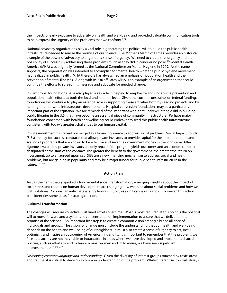the impacts of early exposure to adversity on health and well-being and provided valuable communication tools to help express the urgency of the problems that we confront.<sup>[273](#page-22-0)</sup>

<span id="page-21-6"></span><span id="page-21-5"></span><span id="page-21-4"></span>National advocacy organizations play a vital role in generating the political will to build the public health infrastructure needed to realize the promise of our science. The Mother's March of Dimes provides an historical example of the power of advocacy to engender a sense of urgency. We need to create that urgency and the possibility of successfully addressing these problems much as they did in conquering polio.[274](#page-22-1) Mental Health America (MHA) was originally formed as the National Committee on Mental Hygiene in 1909. As the name suggests, the organization was intended to accomplish for mental health what the public hygiene movement had realized in public health. MHA therefore has always had an emphasis on population health and the prevention of mental illnesses. Along with its 230 affiliates, MHA is an example of an organization that could continue the efforts to spread this message and advocate for needed change.

<span id="page-21-9"></span><span id="page-21-8"></span><span id="page-21-7"></span>Philanthropic foundations have also played a key role in helping to emphasize and underwrite prevention and population health efforts at both the local and national level. Given the current constraints on federal funding, foundations will continue to play an essential role in supporting these activities both by seeding projects and by helping to underwrite infrastructure development. Hospital conversion foundations may be a particularly important part of the equation. We are reminded of the important work that Andrew Carnegie did in building public libraries in the U.S. that have become an essential piece of community infrastructure. Perhaps major foundations concerned with health and wellbeing could endeavor to seed this public health infrastructure consistent with today's greatest challenges to our human capital.

Private investment has recently emerged as a financing source to address social problems. Social Impact Bonds (SIBs) are pay-for-success contracts that allow private investors to provide capital for the implementation and scaling of programs that are known to be effective and save the government money in the long-term. After rigorous evaluation, private investors are only repaid if the program yields outcomes and an economic impact designated at the start of the contract. The greater the benefit to the government, the greater the return on investment, up to an agreed upon cap. SIBs are a new financing mechanism to address social and health problems, but are gaining in popularity and may be a major funder for public health infrastructure in the future.[275](#page-22-2) [276](#page-22-3)

#### **Action Plan**

Just as the germ theory sparked a fundamental social transformation, emerging insights about the impact of toxic stress and trauma on human development are changing how we think about social problems and how we craft solutions. No one can anticipate exactly how a shift of this significance will unfold. However, this action plan identifies some areas for strategic action.

## **Cultural Transformation**

<span id="page-21-0"></span>The changes will require collective, sustained efforts over time. What is most required at this point is the political will to move forward and a systematic concentration on implementation to assure that we deliver on the promise of the science. An important first step is to create a common vision among a broad alliance of individuals and groups. The vision for change must include the understanding that our health and well-being depends on the health and well-being of our neighbors. It must also create a sense of urgency to act, instill optimism, and inspire an outpouring of American ingenuity. It is important to remember that the problems we face as a society are not inevitable or intractable. In areas where we have developed and implemented social policies, such as efforts to end violence against women and child abuse, we have seen significant improvements.<sup>[277](#page-22-4)</sup> <sup>[278](#page-22-5)</sup> <sup>[279](#page-22-6)</sup>

<span id="page-21-3"></span><span id="page-21-2"></span><span id="page-21-1"></span>*Developing common language and understanding*. Given the diversity of interest groups touched by toxic stress and trauma, it is critical to develop a common understanding of the problem. While different sectors will always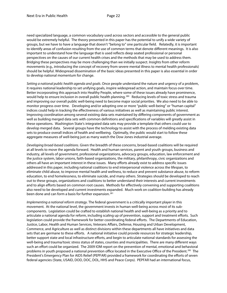need specialized language, a common vocabulary used across sectors and accessible to the general public would be extremely helpful. The theory presented in this paper has the potential to unify a wide variety of groups, but we have to have a language that doesn't "belong to" one particular field. Relatedly, it is important to identify areas of confusion resulting from the use of common terms that denote different meanings. It is also important to understand how the language that is used reflects deep seated professional or personal perspectives on the causes of our current health crises and the methods that may be used to address them. Bridging these perspectives may be more challenging than we initially suspect. Insights from other reform movements (e.g., introducing the concept of recovery from severe mental illness to mental health professionals) should be helpful. Widespread dissemination of the basic ideas presented in this paper is also essential in order to develop national momentum for change.

<span id="page-22-0"></span>*Setting a national public health agenda and goals*. Once people understand the nature and urgency of a problem, it requires national leadership to set unifying goals, inspire widespread action, and maintain focus over time. Better incorporating this approach into Healthy People, where some of these issues already have prominence, would help to ensure inclusion in overall public health planning.<sup>280</sup> Reducing levels of toxic stress and trauma and improving our overall public well-being need to become major social priorities. We also need to be able to monitor progress over time. Developing and/or adopting one or more "public well-being" or "human capital" indices could help in tracking the effectiveness of various initiatives as well as maintaining public interest. Improving coordination among several existing data sets maintained by differing components of government as well as building merged data sets with common definitions and specifications of variables will greatly assist in these operations. Washington State's integrated data sets may provide a template that others could use to develop merged data. Several groups have the technology to assist with the process of melding existing data sets to produce overall indices of health and wellbeing. Optimally, the public would start to follow these aggregate measures of well-being just as many watch the Dow Jones industrial average.

<span id="page-22-4"></span><span id="page-22-3"></span><span id="page-22-2"></span><span id="page-22-1"></span>*Developing broad-based coalitions*. Given the breadth of these concerns, broad-based coalitions will be required at all levels to move the agenda forward. Health and human services, parent and youth groups, business and industry, all levels of government, professional organizations, advocacy groups, education, law enforcement and the justice system, labor unions, faith-based organizations, the military, philanthropy, civic organizations and others all have an important interest in these issues. Many efforts already exist to address specific issues addressed in this paper, including national coalitions to end interpersonal violence across the lifespan, to eliminate child abuse, to improve mental health and wellness, to reduce and prevent substance abuse, to reform education, to end homelessness, to eliminate suicide, and many others. Strategies should be developed to reach out to these groups, organizations and coalitions to better understand their interests and current investments and to align efforts based on common root causes. Methods for effectively convening and supporting coalitions also need to be developed and current investments expanded. Much work on coalition-building has already been done and can form a basis for further expansion.<sup>[281](#page-23-1)</sup>

<span id="page-22-6"></span><span id="page-22-5"></span>*Implementing a national reform strategy*. The federal government is a critically important player in this movement. At the national level, the government invests in human well-being across most of its subcomponents. Legislation could be crafted to establish national health and well-being as a priority and to articulate a national agenda for reform, including scaling up of prevention, support and treatment efforts. Such legislation could provide the framework for better coordinating federal efforts. The Departments of Education, Justice, Labor, Health and Human Services, Veterans Affairs, Defense, Housing and Urban Development, Commerce, and Agriculture as well as distinct divisions within these departments all have initiatives and data sets that are germane to these efforts. A national initiative could provide resources for strategic leadership, better support state and local infrastructure efforts, and begin to articulate national standards for assessing the well-being and trauma/toxic stress status of states, counties and municipalities. There are many different ways such an effort could be organized. The 2009 IOM report on the prevention of mental, emotional and behavioral problems in youth proposed a national prevention office located in the Executive Office of the President.<sup>282</sup> The President's Emergency Plan for AIDS Relief (PEPFAR) provided a framework for coordinating the efforts of seven federal agencies (State, USAID, DOD, DOC, DOL, HHS and Peace Corps). PEPFAR had an international focus,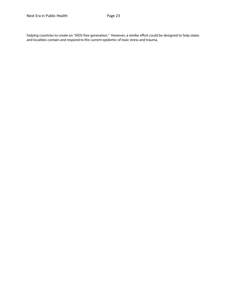<span id="page-23-2"></span><span id="page-23-1"></span><span id="page-23-0"></span>helping countries to create an "AIDS-free generation." However, a similar effort could be designed to help states and localities contain and respond to the current epidemic of toxic stress and trauma.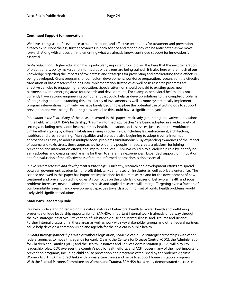## **Continued Support for Innovation**

We have strong scientific evidence to support action, and effective techniques for treatment and prevention already exist. Nonetheless, further advances in both science and technology can be anticipated as we move forward. Along with a focus on implementing what we already know, continued support for innovation is essential.

*Higher education*. Higher education has a particularly important role to play. It is here that the next generation of practitioners, policy makers and informed public citizens are being trained. It is also here where much of our knowledge regarding the impacts of toxic stress and strategies for preventing and ameliorating these effects is being developed. Grant programs for curriculum development, workforce preparation, research on the effective translation of basic research findings into implementation strategies as well basic research programs are effective vehicles to engage higher education. Special attention should be paid to existing gaps, new partnerships, and emerging areas for research and development. For example, behavioral health does not currently have a strong engineering component that could help us develop solutions to the complex problems of integrating and understanding this broad array of investments as well as more systematically implement program interventions. Similarly, we have barely begun to explore the potential use of technology to support prevention and well-being. Exploring new areas like this could have a significant payoff.

*Innovation in the field*. Many of the ideas presented in this paper are already generating innovative applications in the field. With SAMHSA's leadership, "trauma-informed approaches" are being adopted in a wide variety of settings, including behavioral health, primary health, education, social services, justice, and the workforce. Similar efforts going by different labels are arising in other fields, including law enforcement, architecture, nutrition, and urban planning. Municipalities and states are also beginning to adopt trauma-informed approaches as a way to address multiple social problems simultaneously. By expanding awareness of the impact of trauma and toxic stress, these approaches help identify people in need, create a platform for joining prevention and intervention efforts, and improve services. SAMHSA could play a leadership role by identifying early adopters and creating mechanisms for them to share their experiences. Expanded support for innovation and for evaluation of the effectiveness of trauma-informed approaches is also essential.

*Public-private research and development partnerships.* Currently, research and development efforts are spread between government, academia, nonprofit think tanks and research institutes as well as private enterprise. The science reviewed in this paper has important implications for future research and for the development of new treatment and prevention technologies. As our focus on the underlying causes of behavioral health and social problems increases, new questions for both basic and applied research will emerge. Targeting even a fraction of our formidable research and development capacities towards a common set of public health problems would likely yield significant solutions.

## **SAMHSA's Leadership Role**

Our new understanding regarding the critical nature of behavioral health to overall health and well-being presents a unique leadership opportunity for SAMHSA. Important internal work is already underway through the two strategic initiatives: 'Prevention of Substance Abuse and Mental Illness' and 'Trauma and Justice'. Further internal discussion in these areas as well as work with key stakeholder groups and other federal partners could help develop a common vision and agenda for the next era in public health.

*Building strategic partnerships.* With or without legislation, SAMHSA can build strategic partnerships with other federal agencies to move this agenda forward. Clearly, the Centers for Disease Control (CDC), the Administration for Children and Families (ACF) and the Health Resources and Services Administration (HRSA) will play key leadership roles. CDC oversees the country's public health efforts, and ACF houses many of the most important prevention programs, including child abuse prevention and programs established by the Violence Against Women Act. HRSA has direct links with primary care clinics and helps to support home visitation programs. With the Federal Partners Committee on Women and Trauma, SAMHSA has already demonstrated success in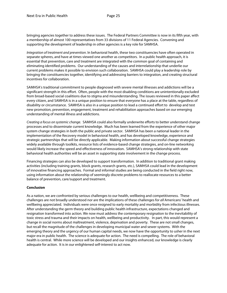bringing agencies together to address these issues. The Federal Partners Committee is now in its fifth year, with a membership of almost 100 representatives from 33 divisions of 11 Federal Agencies. Convening and supporting the development of leadership in other agencies is a key role for SAMHSA.

*Integration of treatment and prevention*. In behavioral health, these two constituencies have often operated in separate spheres, and have at times viewed one another as competitors. In a public health approach, it is essential that prevention, care and treatment are integrated with the common goal of containing and eliminating identified problems. Our understanding of the causes and interrelationship that underlie our current problems makes it possible to envision such collaboration. SAMHSA could play a leadership role by bringing the constituencies together, identifying and addressing barriers to integration, and creating structural incentives for collaboration.

SAMHSA's traditional commitment to people diagnosed with severe mental illnesses and addictions will be a significant strength in this effort. Often, people with the most disabling conditions are unintentionally excluded from broad-based social coalitions due to stigma and misunderstanding. The issues reviewed in this paper affect every citizen, and SAMHSA is in a unique position to ensure that everyone has a place at the table, regardless of disability or circumstance. SAMHSA is also in a unique position to lead a continued effort to develop and test new promotion, prevention, engagement, treatment and rehabilitation approaches based on our emerging understanding of mental illness and addictions.

*Creating a focus on systemic change.* SAMHSA could also formally underwrite efforts to better understand change processes and to disseminate current knowledge. Much has been learned from the experience of other major system change strategies in both the public and private sector. SAMHSA has been a national leader in the implementation of the Recovery model in behavioral health, and has developed knowledge, experience and strategic partnerships that will be directly applicable. Making information about successful change strategies widely available through toolkits, resource lists of evidence-based change strategies, and on-line networking would likely increase the speed and effectiveness of innovation. SAMHSA's strong relationship with state behavioral health authorities will be an asset in supporting state involvement in the change process.

Financing strategies can also be developed to support transformation. In addition to traditional grant making activities (including training grants, block grants, research grants, etc.), SAMHSA could lead in the development of innovative financing approaches. Formal and informal studies are being conducted in the field right now, using information about the relationship of seemingly discrete problems to reallocate resources to a better balance of prevention, care/support and treatment.

## **Conclusion**

As a nation, we are confronted by serious challenges to our health, wellbeing and competitiveness. These challenges are not broadly understood nor are the implications of these challenges for *all* Americans' health and wellbeing appreciated. Individuals were once resigned to early mortality and morbidity from infectious illnesses. After understanding the germ theory and building public health infrastructure, expectations changed and resignation transformed into action. We now must address the contemporary resignation to the inevitability of toxic stress and trauma and their impacts on health, wellbeing and productivity. In part, this would represent a change in social norms about maltreatment, violence, deprivation and poverty. These are not small changes, but recall the magnitude of the challenges in developing municipal water and sewer systems. With the emerging theory and the urgency of our human capital needs, we now have the opportunity to usher in the next major era in public health. The science is adequate for action. The need is compelling. The role of behavioral health is central. While more science will be developed and our insights enhanced, our knowledge is clearly adequate for action. It is in our enlightened self-interest to act now.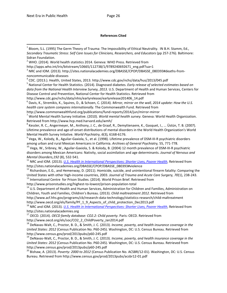l

#### **References Cited**

 $1$  Bloom, S.L. (1995) The Germ Theory of Trauma: The Impossibility of Ethical Neutrality. IN B.H. Stamm, Ed., *Secondary Traumatic Stress: Self Care Issues for Clinicians, Researchers, and Educators* (pp 257-276). Baltimore: Sidran Foundation.  $2$  WHO. (2014). World health statistics 2014. Geneva: WHO Press. Retrieved from http://apps.who.int/iris/bitstream/10665/112738/1/9789240692671\_eng.pdf?ua=1 <sup>3</sup> NRC and IOM. (2013). http://sites.nationalacademies.org/DBASSE/CPOP/DBASSE\_080393#deaths-fromnoncommunicable-diseases<br><sup>4</sup> CDC. (2013.). Health, United States, 2013. http://www.cdc.gov/nchs/data/hus/2013/045.pdf <sup>5</sup> National Center for Health Statistics. (2014). Diagnosed diabetes. *Early release of selected estimates based on data from the National Health Interview Survey, 2013.* U.S. Department of Health and Human Services, Centers for Disease Control and Prevention, National Center for Health Statistics. Retrieved from http://www.cdc.gov/nchs/data/nhis/earlyrelease/earlyrelease201406\_14.pdf <sup>6</sup> Davis, K., Stremikis, K., Squires, D., & Schoen, C. (2014). *Mirror, mirror on the wall, 2014 update: How the U.S. health care system compares internationally.* The Commonwealth Fund. Retrieved from http://www.commonwealthfund.org/publications/fund-reports/2014/jun/mirror-mirror <sup>7</sup> World Mental Health Survey Initiative. (2010). *World mental health survey*. Geneva: World Health Organization. Retrieved from http://www.hcp.med.harvard.edu/wmh/  $8$  Kessler, R. C., Angermeyer, M., Anthony, J. C., de Graaf, R., Demyttenaere, K., Gasquet, I., ... Üstün, T. B. (2007). Lifetime prevalence and age-of-onset distributions of mental disorders in the World Health Organization's World Mental Health Survey Initative. *World Psychiatry, 6*(3), 6168-6176.<br><sup>9</sup> Vega, W., Kolody, B., Aguilar-Gaxiola, S., et al. (1998). Lifetime prevalence of DSM-III-R psychiatric disorders<br>among urban and rural Mexican Americ <sup>10</sup> Vega, W., Sribney, W., Aguilar-Gaxiola, S. & Kolody, B. (2004) 12 month prevalence of DSM-III-R psychiatric disorders among Mexican Americans: Nativity, social assimilation and age determinants. *Journal of Nervous and Mental Disorders,192* (8), 532-541.<br><sup>11</sup> NRC and IOM. (2013). *<u>U.S. Health in International Perspectives: Shorter Lives, Poorer Health</u>, Retrieved from* http://sites.nationalacademies.org/DBASSE/CPOP/DBASSE\_080393#violence  $12$  Richardson, E.G., and Hemenway, D. (2011). Homicide, suicide, and unintentional firearm fatality: Comparing the United States with other high-income countries, 2003. *Journal of Trauma and Acute Care Surgery, 70*(1), 238-243.<br><sup>13</sup> International Centre for Prison Studies. (2014). World Prison Brief. Retrieved from http://www.prisonstudies.org/highest-to-lowest/prison-population-total<br><sup>14</sup> U.S. Department of Health and Human Services, Administration for Children and Families, Administration on Children, Youth and Families, Children's Bureau. (2013). *Child maltreatment 2012*. Retrieved from http://www.acf.hhs.gov/programs/cb/research-data-technology/statistics-research/child-maltreatment http://www.oecd.org/els/family/PF\_1\_9\_Aspects\_of\_child\_protection\_Dec2013.pdf <sup>16</sup> NRC and IOM. (2013). *U.S. Health in International Perspectives: Shorter Lives, Poorer Health*, Retrieved from http://sites.nationalacademies.org <sup>17</sup> OECD. (2014). *OECD family database: CO2.2: Child poverty*. Paris: OECD. Retrieved from http://www.oecd.org/els/soc/CO2\_2\_ChildPoverty\_Jan2014.pdf <sup>18</sup> DeNavas-Walt, C., Proctor, B. D., & Smith, J. C. (2013). *Income, poverty, and health insurance coverage in the United States: 2012* (Census Publication No. P60-245). Washington, DC: U.S. Census Bureau. Retrieved from http://www.census.gov/prod/2013pubs/p60-245.pdf<br><sup>19</sup> DeNavas-Walt, C., Proctor, B. D., & Smith, J. C. (2013). *Income, poverty, and health insurance coverage in the United States: 2012* (Census Publication No. P60-245). Washington, DC: U.S. Census Bureau. Retrieved from http://www.census.gov/prod/2013pubs/p60-245.pdf<br><sup>20</sup> Bishaw, A. (2013). *Poverty: 2000 to 2012* (Census Publication No. ACSBR/12-01). Washington, DC: U.S. Census Bureau. Retrieved from http://www.census.gov/prod/2013pubs/acsbr12-01.pdf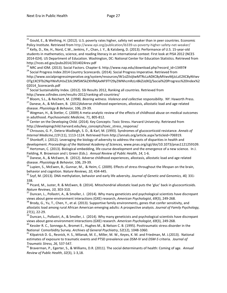<sup>21</sup> Gould, E., & Wething, H. (2012). U.S. poverty rates higher, safety net weaker than in peer countries. Economic<br>Policy Institute. Retrieved from http://www.epi.org/publication/ib339-us-poverty-higher-safety-net-weaker

<sup>22</sup> Kelly, D., Xie, H., Nord, C.W., Jenkins, F., Chan, J. Y., & Katsberg, D. (2013). Performance of U.S. 15-year-old students in mathematics, science, and reading literacy in an international context: First look at PISA 2012 (NCES 2014-024). US Department of Education. Washington, DC: National Center for Education Statistics. Retrieved from http://nces.ed.gov/pubs2014/2014024rev.pdf

<sup>23</sup> NRC and IOM. (2013). Social Factors. Chapter 6. http://www.nap.edu/download.php?record\_id=13497# 24 Social Progress Index 2014 Country Scorecards. (2014). Social Progress Imperative. Retrieved from http://www.socialprogressimperative.org/system/resources/W1siZiIsIjIwMTRcLzA0XC8yMVwvMjJcLzE2XC8yNVwv OTg1XC9Tb2NpYWxfUHJvZ3Jlc3NfSW5kZXhfMjAxNF9TY29yZWNhcmRzLnBkZiJdXQ/Social%20Progress%20Index%2 02014\_Scorecards.pdf

<sup>25</sup> Social Sustainability Index. (2012). SSI Results 2012, Ranking all countries. Retrieved from<br>http://www.ssfindex.com/results-2012/ranking-all-countries/

<sup>26</sup> Bloom, S.L., & Reichert, M. (1998). *Bearing witness. Violence and collective responsibility*. NY: Haworth Press.<br><sup>27</sup> Danese, A., & McEwen, B. (2012)Adverse childhood experiences, allostasis, allostatic load and age

<sup>28</sup> Wegman, H., & Stetler, C. (2009) A meta-analytic review of the effects of childhood abuse on medical outcomes in adulthood. *Psychosomatic Medicine, 7*1, 805-812.<br><sup>29</sup> Center on the Developing Child. (2014). Key Concepts: Toxic Stress. Harvard University. Retrieved from

http://developingchild.harvard.edu/key\_concepts/toxic\_stress\_response/

<sup>30</sup> Chrousos, G. P., Detera-Wadleigh, S. D., & Karl, M. (1993). Syndromes of glucocorticoid resistance. *Annals of*<br>Internal Medicine, 119 (11), 1113-1124. Retrieved from http://annals.org/article.aspx?articleid=706919.

<sup>31</sup> Shonkoff, J. (2012). Leveraging the biology of adversity to address the roots of disparities in health and

development. Proceedings of the National Academy of Sciences, www.pnas.org/cgi/doi/10.1073/pnas1121259109.<br><sup>32</sup> Hertzman, C. (2013). Biological embedding, life course development and the emergence of a new science. In J.<br>F

<sup>33</sup> Danese, A., & McEwen, B. (2012). Adverse childhood experiences, allostasis, allostatic load and age related

disease. *Physiology & Behavior,* 106, 29-39.<br><sup>34</sup> Lupien, S., McEwen, B., Gunnar, M., & Heim, C. (2009). Effects of stress throughout the lifespan on the brain, behavior and cognition. *Nature Reviews, 10*, 434-445.

<sup>35</sup> Szyf, M. (2013). DNA methylation, behavior and early life adversity. *Journal of Genetic and Genomics, 40,* 331-338.

 $36$  Picard, M., Juster, R. & McEwen, B. (2014). Mitochondrial allostatic load puts the 'gluc' back in glucocorticoids.<br>Nature Reviews, 10, 303-310.

<sup>37</sup> Duncan, L., Pollastri, A., & Smoller, J. (2014). Why many geneticists and psychological scientists have discrepant views about gene-environment interactions (GXE) research, *American Psychologist*, *69*(3), 249-268.<br><sup>38</sup> Brody, G., Yu, T., Chen, Y., et al. (2013). Supportive family environments, genes that confer sensitivity, and

allostatic load among rural African American emerging adults: A prospective analysis. *Journal of Family Psychology,* 

27(1), 22-29.<br><sup>39</sup> Duncan, L., Pollastri, A., & Smoller, J. (2014). Why many geneticists and psychological scientists have discrepant<br>views about gene-environment interactions (GXE) research. American Psychologist, 69(3),

<sup>40</sup> Kessler R. C., Sonnega A., Bromet E., Hughes M., & Nelson C. B. (1995). Posttraumatic stress disorder in the National Comorbidity Survey. *Archives of General Psychiatry, 52*(12), 1048-1060.<br><sup>41</sup> Kilpatrick D. G., Resnick, H. S., Milanak, M. E., Miller, M. W., Keyes, K. M. and Friedman, M. J.(2013). National

estimates of exposure to traumatic events and PTSD prevalence use *DSM-IV* and *DSM-5* criteria. *Journal of* 

*Traumatic Stress, 26, 537-547.*<br><sup>42</sup> Braverman, P., Egerter, S., & Williams, D.R. (2011). The social determinants of health: Coming of age. *Annual Review of Public Health*, *32*(3), 1-3,18.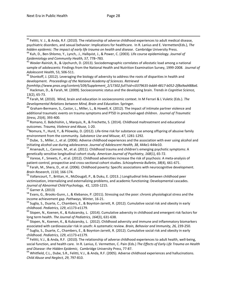<sup>43</sup> Felitti, V. J., & Anda, R.F. (2010). The relationship of adverse childhood experiences to adult medical disease, psychiatric disorders, and sexual behavior: Implications for healthcare. In R. Lanius and E. Vermetten(Eds.), *The*  hidden epidemic: The impact of early life trauma on health and disease. Cambridge University Press.<br><sup>44</sup> Kuh, D., Ben-Shlomo, Y., Lynch,. J., Hallqvist, J., & Power, C. (2003). Life course epidemiology. Journal of

*Epidemiology and Community Health, 57, 778–783.*<br><sup>45</sup> Wexler-Rainish, B., & Upchurch, D. (2013). Sociodemographic correlates of allostatic load among a national

sample of adolescents: Findings from the National Health and Nutrition Examination Survey, 1999-2008. *Journal of* 

*Adolescent Health*, 53, 506-511.<br><sup>46</sup> Shonkoff, J. (2012). Leveraging the biology of adversity to address the roots of disparities in health and development. *Proceedings of the National Academy of Sciences. Retrieved* 

*fromhttp://www.pnas.org/content/109/Supplement\_2/17302.full?sid=c0379635-bdd4-4817-b052-2f8a9ad488a6.* <sup>47</sup> Hackman, D., & Farah, M. (2009). Socioeconomic status and the developing brain. *Trends in Cognitive Science,*

13(2), 65-73. <sup>48</sup> Farah, M. (2010). Mind, brain and education in socioeconomic context. In M Ferrari & L Vuletic (Eds.). *The Developmental Relations between Mind, Brain and Education.* Springer.

<sup>49</sup> Graham-Bermann, S., Castor, L., Miller, L., & Howell, K. (2012). The impact of intimate partner violence and additional traumatic events on trauma symptoms and PTSD in preschool-aged children. *Journal of Traumatic Stress, 25(4), 393-400.*<br><sup>50</sup> Romano, E. Babchishin, L, Marquis, R., & Frechette, S. (2014). Childhood maltreatment and educational

outcomes. *Trauma, Violence and Abuse,* 1-20.<br><sup>51</sup>Nomura, Y., Hurd, Y., & Pilowsky, D. (2012). Life-time risk for substance use among offspring of abusive family<br>environment from the community. Substance Use and Misuse, 47

<sup>52</sup> Dube, S., Miller, J., et al. (2006). Adverse childhood experiences and the association with ever using alcohol and initiating alcohol use during adolescence. *Journal of Adolescent Health, 38, 444e1-444e10*.<br><sup>53</sup> Arsenault, L., Cannon, M., et al. (2011). Childhood trauma and children's emerging psychotic symptoms: A

genetically sensitive longitudinal cohort study. *American Journal of Psychiatry*, *168*(1), 65-72.<br><sup>54</sup> Varese, F., Smeets, F., et al. (2012). Childhood adversities increase the risk of psychosis: A meta-analysis of

patient-control, prospective and cross-sectional cohort studies. Schizophrenia Bulletin, 38(4), 661-671.<br><sup>55</sup> Farah, M., Shera, D., et al. (2006). Childhood poverty: Specific associations with neurocognitive development.

*Brain Research, 1110, 166-174.*<br><sup>56</sup> Vallancourt, T., Brittan, H., McDougall, P., & Duku, E. (2013..) Longitudinal links between childhood peer

victimization, internalizing and externalizing problems, and academic functioning: Developmental cascades.<br>Journal of Abnormal Child Psychology, 41, 1203-1215.<br><sup>57</sup> Garner A. (2013)

<sup>58</sup> Evans, G., Brooks-Gunn, J., & Klebanov, P. (2011). Stressing out the poor: chronic physiological stress and the income achievement gap. *Pathways, Winter, 16-21*.<br><sup>59</sup> Suglia, S., Duarte, C., Chambers, E., & Boynton-Jarrett, R. (2012). Cumulative social risk and obesity in early

childhood. *Pediatrics, 129*, e1173-e1179.<br><sup>60</sup> Slopen, N., Koenen, K., & Kubzansky, L. (2014). Cumulative adversity in childhood and emergent risk factors for

long term health. *The Journal of Pediatrics, 164*(3), 631-638.<br><sup>61</sup> Slopen, N., Koenen, K., & Kubzansky, L. (2012). Childhood adversity and immune and inflammatory biomarkers

associated with cardiovascular risk in youth: A systematic review. *Brain, Behavior and Immunity, 26, 239-250*.<br><sup>62</sup> Suglia, S., Duarte, C., Chambers, E., & Boynton-Jarrett, R. (2012). Cumulative social risk and obesity in

childhood. *Pediatrics, 129*, e1173-e1179.<br><sup>63</sup> Felitti, V.J., & Anda, R.F. (2010). The relationship of adverse childhood experiences to adult health, well-being,

social function, and health care. In R. Lanius, E. Vermetten, C. Pain (Eds.) *The Effects of Early Life Trauma on Health*  and Disease: the Hidden Epidemic, Cambridge University Press, 77-87.<br><sup>64</sup> Whitfield, C.L., Dube, S.R., Felitti, V.J., & Anda, R.F. (2005). Adverse childhood experiences and hallucinations.

*Child Abuse and Neglect, 29*, 797-810.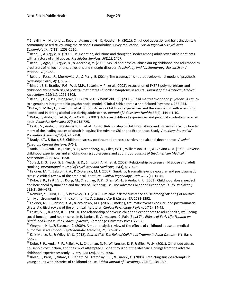<sup>65</sup> Shevlin, M., Murphy, J., Read, J., Adamson, G., & Houston, H. (2011). Childhood adversity and hallucinations: A community-based study using the National Comorbidity Survey replication. *Social Psychiatry Psychiatric Epidemiology, 46*(12), 1203-1210.<br><sup>66</sup> Read, J., & Argyle, N. (1999). Hallucination, delusions and thought disorder among adult psychiatric inpatients

with a history of child abuse. *Psychiatric Services, 50*(11), 1467.<br><sup>67</sup> Read, J., Agar, K., Argyle, N., & Aderhold, V. (2003). Sexual and physical abuse during childhood and adulthood as

predictors of hallucinations, delusions and thought disorder. *Psychology and Psychotherapy: Research and* 

*Practice. 76, 1-22.*<br><sup>68</sup> Read, J., Fosse, R., Moskowitz, A., & Perry, B. (2014). The traumagenic neurodevelopmenal model of psychosis.<br>*Neuropsychiatry, 4*(1), 65-79.

<sup>69</sup> Binder, E.B., Bradley, R.G., Wei, M.P., Epstein, M.P., et al. (2008). Association of FKBP5 polymorphisms and childhood abuse with risk of posttraumatic stress disorder symptoms in adults. *Journal of the American Medical* 

Association, 299(11), 1291-1305.<br><sup>70</sup> Read, J., Fink, P.J., Rudegeair, T., Felitti, V.J., & Whitfield, C.L. (2008). Child maltreatment and psychosis: A return to a genuinely integrated bio-psycho-social model. Clinical Schizophrenia and Related Psychoses, 235-254.<br><sup>71</sup>Dube, S., Miller, J., Brown, D., et al. (2006). Adverse Childhood experiences and the association with ever usin

alcohol and initiating alcohol use during adolescence. Journal of Adolescent Health; 38(4): 444 e 1-10.<br><sup>72</sup> Dube, S., Anda, R., Felitti, V., & Croft, J. (2002). Adverse childhood experiences and personal alcohol abuse as

adult. *Addictive Behavior,; 27*(5): 713-725.<br><sup>73</sup> Felitti, V., Anda, R., Nordenberg, D., et al. (1998). Relationship of childhood abuse and household dysfunction to

many of the leading causes of death in adults: The Adverse Childhood Experiences Study. *American Journal of Preventive Medicine,14*(4), 245-258.<br><sup>74</sup> Brady, K.T., & Back, S.E. Childhood stress, posttraumatic stress disorder, and alcohol dependence. Alcohol

*Research, Current Reviews, 34*(4).<br><sup>75</sup> Anda, R. F, Croft J. B., Felitti, V. J., Nordenberg, D., Giles, W. H., Williamson, D. F., & Giovino G. A. (1999). Adverse childhood experiences and smoking during adolescence and adulthood. *Journal of the American Medical*  Association, 282,1652–1658.<br><sup>76</sup> Spratt, E. G., Back, S. E., Yeatts, S. D., Simpson, A. N., et al. (2009). Relationship between child abuse and adult

smoking. *International Journal of Psychiatry and Medicine, 39*(4), 417-426.<br><sup>77</sup> Feldner, M. T., Babson, K. A., & Zvolensky, M. J. (2007). Smoking, traumatic event exposure, and posttraumatic<br>stress: A critical review of

<sup>78</sup> Dube, S. R., Felitti,V. J., Dong, M., Chapman, D. P., Giles, W. H., & Anda, R. F. (2003). Childhood abuse, neglect and household dysfunction and the risk of illicit drug use: The Adverse Childhood Experience Study. *Pediatrics,*  111(3), 564–572.<br><sup>79</sup> Nomura, Y., Hurd, Y. L., & Pilowsky, D. J. (2012). Life-time risk for substance abuse among offspring of abusive

family environment from the community. Substance Use & Misuse, 47, 1281-1292.<br><sup>80</sup> Feldner, M. T., Babson, K. A., & Zvolensky, M.J. (2007). Smoking, traumatic event exposure, and posttraumatic<br>stress: A critical review of

<sup>81</sup> Felitti, V. J., & Anda, R .F. (2010). The relationship of adverse childhood experiences to adult health, well-being, social function, and health care. In R. Lanius , E. Vermetten , C. Pain (Eds.) *The Effects of Early Life Trauma on* 

<sup>82</sup> Wegman, H. L., & Stetman, C. (2009). A meta-analytic review of the effects of childhood abuse on medical outcomes in adulthood. *Psychosomatic Medicine, 71, 805–812*.<br><sup>83</sup> Karr-Morse, R., & Wiley, M. S. (2012). *Scared Sick. The Role of Childhood Trauma in Adult Disease*. NY: Basic

Books.

84 Dube, S. R., Anda, R. F., Felitti, V. J., Chapman, D. P., Williamson, D. F., & Giles, W. H. (2001). Childhood abuse, household dysfunction, and the risk of attempted suicide throughout the lifespan: Findings from the adverse childhood experiences study. *JAMA, 286* (24), 3089-3096.<br><sup>85</sup> Brezo, J., Paris, J., Vitaro, F., Hébert, M., Tremblay, R.E., & Turecki, G. (2008). Predicting suicide attempts in

young adults with histories of childhood abuse. *British Journal of Psychiatry, 193*(2), 134-139.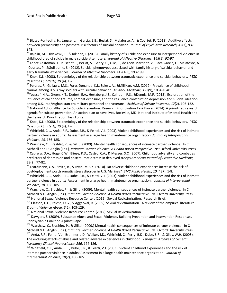86 Blasco-Fontecilla, H., Jaussent, I., Garcia, E.B., Beziat, S., Malafosse, A., & Courtet, P. (2013). Additive effects between prematurity and postnatal risk factors of suicidal behavior*. Journal of Psychiatric Research, 47*(7), 937- 943.

87 Raialin, M., Hirvikoski, T., & Jokinen, J. (2013). Family history of suicide and exposure to interpersonal violence in childhood predict suicide in male suicide attempters. Journal of Affective Disorders, 148(1), 92-97.<br><sup>88</sup> Lopez-Castoman, J., Jauseent, I., Beziat, S., Genty, C., Olie, E., de Leon-Martinez, V., Baca-Garcia, E., Malafosse,

, Courtet, P., &Guillaume, S. (2012). Suicidal phenotypes associated with family history of suicidal behavior and

early traumatic experiences. *Journal of Affective Disorders, 142*(1-3), 193-199.<br><sup>89</sup> Knox, K.L. (2008). Epidemiology of the relationship between traumatic experience and suicidal behaviors. *PTSD*<br>*Research Quarterly, 19* 

<sup>90</sup> Perales, R., Gallawy, M.S., Forys-Donahue, K.I., Spiess, A., &Millikan, A.M. (2012). Prevalence of childhood

trauma among U.S. Army soldiers with suicidal behavior. *Military. Medicine, 177*(9), 1034-1040.<br><sup>91</sup>Youssef, N.A., Green, K.T., Dedert, E.A., Hertzberg, J.S., Calhoun, P.S., &Dennis, M.F. (2013). Exploration of the influence of childhood trauma, combat exposure, and the resilience construct on depression and suicidal ideation among U.S. Iraq/Afghanistan era military personnel and veterans. Archives of Suicide Research, 17(2), 106-122.<br><sup>92</sup> National Action Alliance for Suicide Prevention: Research Prioritization Task Force. (2014). A prioritized agenda for suicide prevention: An action plan to save lives. Rockville, MD: National Institute of Mental Health and the Research Prioritization Task Force.

<sup>93</sup> Knox, K.L. (2008). Epidemiology of the relationship between traumatic experience and suicidal behaviors. *PTSD Research Quarterly, 19* (4), 1-7.<br><sup>94</sup> Whitfield, C.L., Anda, R.F., Dube, S.R., & Felitti, V.J. (2003). Violent childhood experiences and the risk of intimate

partner violence in adults: Assessment in a large health maintenance organization. *Journal of Interpersonal* 

*Violence, 18, 166-185.*<br><sup>95</sup> Warshaw, C., Brashlet, P., & Gill, J. (2009). Mental health consequences of intimate partner violence. In C. Mithcell and D. Anglin (Eds.), *Intimate Partner Violence: A Health Based Perspective*. NY: Oxford University Press.<br><sup>96</sup> Cabrera, O.A., Hoge, C.W., Bliese, P.D., Castro, C.A., & Messer, S.C. (2007). Childhood adversity an

predictors of depression and posttraumatic stress in deployed troops *American Journal of Preventive Medicine,* 

33(2), 77-82.<br><sup>97</sup> LeardMann, C.A., Smith, B., & Ryan, M.A.K. (2010). Do adverse childhood experiences increase the risk of<br>postdeployment posttraumatic stress disorder in U.S. Marines? *BMC Public Health, 10* (437), 1-8.

<sup>98</sup> Whitfield, C.L., Anda, R.F., Dube, S.R., & Felitti, V.J. (2003). Violent childhood experiences and the risk of intimate partner violence in adults: Assessment in a large health maintenance organization. *Journal of Interpersonal* 

*Violence, 18, 166-185.*<br><sup>99</sup> Warshaw, C., Brashlet, P., & Gill, J. (2009). Mental health consequences of intimate partner violence. In C.

Mithcell & D. Anglin (Eds.), *Intimate Partner Violence: A Health Based Perspective*. NY: Oxford University Press.<br><sup>100</sup> National Sexual Violence Resource Center. (2012). Sexual Revictimization. Research Brief.<br><sup>101</sup> Class

 $^{102}$  National Sexual Violence Resource Center. (2012). Sexual Revictimization.<br> $^{103}$  Dawgert, S. (2009). Substance Abuse and Sexual Violence. Building Prevention and Intervention Responses. Pennsylvania Coalition Against Rape.

<sup>104</sup> Warshaw, C., Brashlet, P., & Gill, J. (2009.) Mental health consequences of intimate partner violence. In C. Mithcell & D. Anglin (Eds.), *Intimate Partner Violence: A Health Based Perspective*. NY: Oxford University Press.<br><sup>105</sup> Anda, R.F., Felitti, V.J., Bremner, J.D., Walker, J.D., Whitfield, C., Perry, B.D., Dube, S.R., & Gil

The enduring effects of abuse and related adverse experiences in childhood. *European Archives of General Psychiatry Clinical Neuroscience, 256*, 174-186.<br><sup>106</sup> Whitfield, C.L., Anda, R.F., Dube, S.R., & Felitti, V.J. (2003). Violent childhood experiences and the risk of

intimate partner violence in adults: Assessment in a large health maintenance organization. *Journal of Interpersonal Violence, 18*(2), 166-185.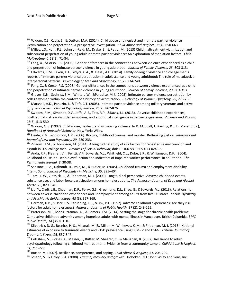<sup>107</sup> Widom, C.S., Czaja, S., & Dutton, M.A. (2014). Child abuse and neglect and intimate partner violence victimization and perpetration: A prospective investigation. *Child Abuse and Neglect, 38*(4), 650-663.

<sup>108</sup> Millet, L,S., Kohl, P.L., Johnson-Reid, M., Drake, B., & Petra, M. (2013) Child maltreatment victimization and subsequent perpetration of young adult intimate partner violence: An exploration of mediation factors. *Child Maltreatment, 18*(2), 71-84.<br><sup>109</sup> Fang, X., &Corso, P.S. (2008). Gender differences in the connections between violence experienced as a child

and perpetration of intimate partner violence in young adulthood. Journal of Family Violence, 23, 303-313.<br><sup>110</sup> Edwards, K.M., Dixon, K.J., Gidycz, C.A., & Desai, A.D. (2014). Family-of-origin violence and college men's

reports of intimate partner violence perpetration in adolescence and young adulthood: The role of maladaptive

interpersonal patterns. *Psychology of Men and Masculinity, 15*(2), 234-240.<br><sup>111</sup> Fang, X., & Corso, P.S. (2008.) Gender differences in the connections between violence experienced as a child<br>and perpetration of intimate

<sup>112</sup> Graves, K.N., Sechrist, S.M., White, J.W., &Paradise, M.J. (2005). Intimate partner violence perpetration by

college women within the context of a history of victimization. *Psychology of Women Quarterly, 29,* 278-289.<br><sup>113</sup> Marshall, A.D., Panuzio, J., & Taft, C.T. (2005). Intimate partner violence among military veterans and ac

<sup>114</sup> Swopes, R.M., Simonet, D.V., Jaffe, A.E., Tett, R.P., &Davis, J.L. (2013). Adverse childhood experiences, posttraumatic stress disorder symptoms, and emotional intelligence in partner aggression. *Violence and Victims,* 

28(3), 513-530.<br><sup>115</sup> Widom, C. S. (1997). Child abuse, neglect, and witnessing violence. In D. M. Stoff, J. Breiling, & J. D. Maser (Eds.),

*Handbook of Antisocial Behavior*. New York: Wiley.<br><sup>116</sup> Heide, K.M., &Solomon, E.P. (2006). Biology, childhood trauma, and murder: Rethinking justice. *International*<br>*Journal of Law and Psychiatry, 29, 220*-233.

<sup>117</sup> Zinzow, H.M., &Thompson, M. (2014). A longitudinal study of risk factors for repeated sexual coercion and<br>assault in U.S. college men. *Archives of Sexual Behavior*, doi: 10.1007/s10509-013-0243-5.

<sup>118</sup> Anda, R.F., Fleisher, V.I., Felitti, V.Jj, Edwards, V.J., Whitfield, C.L., Dube, S.R., & Williamson, D.F. (2004). Childhood abuse, household dysfunction and Indicators of Impaired worker performance in adulthood. *The* 

*Permanente Journal, 8,* 30-38.<br><sup>119</sup> Sansone, R. A., Dakroub, H., Pole, M., & Butler, M. (2005). Childhood trauma and employment disability. *International Journal of Psychiatry in Medicine, 35, 395–404.* 120 *Tam, T. W., Zlournal berspective: Adverse childhood events, 1*<sup>20</sup> Tam, T. W., Zlotnick, C., & Robertson, M. J. (2003). Longitudinal perspective: Adver

substance use, and labor force participation among homeless adults. *The American Journal of Drug and Alcohol Abuse, 29, 829–846.*<br><sup>121</sup> Liu, Y., Croft, J.B., Chapman, D.P., Perry, G.S., Greenlund, K.J., Zhao, G., &Edwards, V.J. (2013). Relationship

between adverse childhood experiences and unemployment among adults from five US states. *Social Psychiatry* 

and Psychiatric Epidemiology, 48 (3), 357-369.<br><sup>122</sup> Herman, D.B., Susser, E.S., Struening, E.L., &Link, B.L. (1997). Adverse childhood experiences: Are they risk<br>factors for adult homelessness? American Journal of Public

<sup>123</sup> Patterson, M.I., Moniruzzaman, A., & Somers, J.M. (2014). Setting the stage for chronic health problems: Cumulative childhood adversity among homeless adults with mental illness in Vancouver, British Columbia. *BMC Public Health, 14* (350), 1-10.<br><sup>124</sup> Kilpatrick, D. G., Resnick, H. S., Milanak, M. E., Miller, M. W., Keyes, K. M., & Friedman, M. J. (2013). National

estimates of exposure to traumatic events and PTSD prevalence using DSM-IV and DSM-5 criteria. *Journal of Traumatic Stress, 26, 537-547.*<br><sup>125</sup> Collishaw, S., Pickles, A., Messer, J., Rutter, M. Shearer, C., & Maughan, B. (2007). Resilience to adult

psychopathology following childhood maltreatment: Evidence from a community sample. *Child Abuse & Neglect,*  31, 211-229.<br><sup>126</sup> Rutter, M. (2007). Resilience, competence, and coping. *Child Abuse & Neglect, 31,* 205-209.<br><sup>127</sup> Joseph. S.. & Linley. P.A. (2008). *Trauma, recovery and growth*. Hoboken, N.J.: John Wiley and Sons, In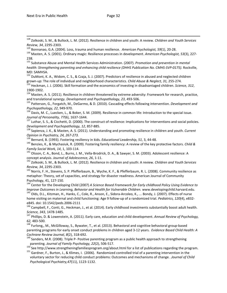128 Zolkoski, S. M., & Bullock, L. M. (2012). Resilience in children and youth: A review. *Children and Youth Services*  Review, 34, 2295-2303.<br><sup>129</sup> Bonnanao, G.A. (2004). Loss, trauma and human resilience. *American Psychologist, 59*(1), 20-28.<br><sup>130</sup> Masten, A. S. (2001). Ordinary magic: Resilience processes in development. American Psycho

238.

<sup>131</sup> Substance Abuse and Mental Health Services Administration. (2007). *Promotion and prevention in mental health: Strengthening parenting and enhancing child resilience (DHHS Publication No. CMHS-SVP-0175).* Rockville, MD: SAMHSA.

<sup>132</sup> DuMont, K. A., Widom, C. S., & Czaja, S. J. (2007). Predictors of resilience in abused and neglected children

grown-up: The role of individual and neighborhood characteristics. Child Abuse & Neglect, 31, 255-274.<br><sup>133</sup> Heckman, J. J. (2006). Skill formation and the economics of investing in disadvantaged children. Science, 312,<br>19

<sup>134</sup> Masten, A. S. (2011). Resilience in children threatened by extreme adversity: Framework for research, practice, and translational synergy. *Development and Psychopathology, 23*, 493-506.<br><sup>135</sup> Patterson, G., Forgatch, M., DeGarmo, & D. (2010). Cascading effects following intervention. *Development and* 

*Psychopathology, 22, 949-970.*<br><sup>136</sup> Davis, M. C., Luecken, L., & Boker, S. M. (2009). Resilience in common life: Introduction to the special issue.

*Journal of Personality, 77*(6), 1637-1644.<br><sup>137</sup> Luthar, S. S., & Cicchetti, D. (2000). The construct of resilience: Implications for interventions and social policies.

*Development and Psychopathology, 12, 857-885.*<br><sup>138</sup> Sapienza, J. K., & Masten, A. S. (2011). Understanding and promoting resilience in children and youth. *Current* 

*Opinion in Psychiatry, 24, 267-273.*

<sup>140</sup> Benzies, K., & Mychasiuk, R. (2009). Fostering family resiliency: A review of the key protective factors. *Child &* 

*Family Social Work, 14, 1, 103-114.*<br><sup>141</sup> Olsson, C. A., Bond, L., Burns, J. M., Vella-Brodrick, D. A., & Sawyer, S. M. (2003). Adolescent resilience: A<br>concept analysis. *Journal of Adolescence, 26, 1-11*.

<sup>142</sup> Zolkoski, S. M., & Bullock, L. M. (2012). Resilience in children and youth: A review. *Children and Youth Services Review, 34, 2295-2303.*<br><sup>143</sup> Norris, F. H., Stevens, S. P. Pfefferbaum, B., Wyche, K. F., & Pfefferbaum, R. L. (2008). Community resilience as

metaphor: Theory, set of capacities, and strategy for disaster readiness. American Journal of Community

Psychology, 41, 127-150.<br><sup>144</sup> Center for the Developing Child (2007) *A Science Based Framework for Early childhood Policy Using Evidence to*<br>Improve Outcomes in Learning, Behavior and Health for Vulnerable Children. www.

<sup>145</sup> Olds, D.L., Kitzman, H., Hanks, C., Cole, R., Anson, E., Sidora-Arcoleo, K., ... Bondy, J. (2007). Effects of nurse home visiting on maternal and child functioning: Age 9 follow-up of a randomized trial. *Pediatrics, 120*(4), e832-

e845. doi: 10.1542/peds.2006-2111<br><sup>146</sup> Campbell, F., Conti, G., Heckman, J., et al. (2014). Early childhood investments substantially boost adult health.

*Science, 343, 1478-1485.*<br><sup>147</sup> Phillips, D. & Lowenstein, A. (2011). Early care, education and child development. *Annual Review of Psychology,*<br>62, 483-500.

<sup>148</sup> Furlong,, M., McGilloway, S., Bywater, T., et al. (2013). Behavioral and cognitive behavioral group-based parenting programs for early onset conduct problems in children aged 3-12 years. *Evidence Based Child Health: A Cochrane Review Journal, 8*(2), 318-692.<br><sup>149</sup> Sanders, M.R. (2008). Triple P- Positive parenting program as a public health approach to strengthening

parenting. Journal of Family Psychology, 22(2), 506-517.<br><sup>150</sup> See http://www.strengtheningfamiliesprogram.org/about.html for a list of publications regarding the program.<br><sup>151</sup> Gardner, F., Burton, J., & Klimes, I. (2006)

voluntary sector for reducing child conduct problems: Outcomes and mechanisms of change. .*Journal of Child Psychological Psychiatry,47*(11), 1123-1132.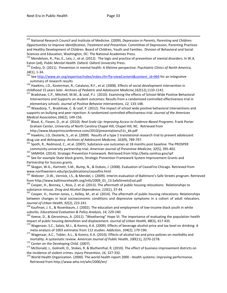152 National Research Council and Institute of Medicine. (2009). *Depression in Parents, Parenting and Children: Opportunities to Improve Identification, Treatment and Prevention.* Committee of Depression, Parenting Practices and Healthy Development of Children. Board of Children, Youth and Families. Division of Behavioral and Social Sciences and Education, Washington, DC: The National Academies Press.

<sup>153</sup> Mendelson, R., Pas, E., Leis, J., et al. (2012). The logic and practice of prevention of mental disorders. In W.A. Eaton (ed), *Public Mental Health.* Oxford: Oxford University Press.<br><sup>154</sup> Embry, D. (2011). Prevention in mental health: A lifetime perspective. *Psychiatric Clinics of North America,* 

34(1), 1-34.<br><sup>155</sup> See http://www.air.org/expertise/index/index.cfm?fa=viewContent&content\_id=964</u> for an integrative

summary of research results<br><sup>156</sup> Hawkins, J.D., Kosterman, R., Catalano, R.F., et al. (2008). Effects of social development intervention in childhood 15 years later. *Archives of Pediatric and Adolescent Medicine,162*(12),1133-1141.<br><sup>157</sup> Bradshaw, C.P., Mitchell, M.M., & Leaf, P.J. (2010). Examining the effects of School-Wide Positive Behavioral

Interventions and Supports on student outcomes: Results from a randomized controlled effectiveness trial in

elementary schools. *Journal of Positive Behavior Interventions, 12,* 133-148.<br><sup>158</sup> Waasdorp, T., Bradshaw, C. & Leaf, P. (2012). The impact of school wide positive behavioral interventions and supports on bullying and peer rejection: A randomized controlled effectiveness trial. *Journal of the American* 

*Medical Association,166*(2), 149-156.<br><sup>159</sup> Blasé, K., Fixsen, D., et al. (2010). *Real Scale Up: Improving Access to Evidence-Based Programs.* Frank Porter Graham Center, University of North Carolina Chapel Hill, Chapel Hill, NC. Retrieved from

http://www.blueprintsconference.com/2010/presentations/t1c\_kb.pdf<br><sup>160</sup> Hawkins, J.D, Oesterle, S., et al. (2009). Results of a type 2 translational research trial to prevent adolescent<br>drug use and delinquency. Archives o

<sup>161</sup> Spoth, R., Redmond, C., et al. (2007). Substance-use outcomes at 18 months post baseline: The PROSPER community-university partnership trial. American Journal of Preventive Medicine, 32(5), 395-402.<br><sup>162</sup> SAMHSA. (2014). Strategic Prevention Framework. Retrieved from http://beta.samhsa.gov/spf<br><sup>163</sup> See for example State b

Partnership for Success grants.

<sup>164</sup> Skogan, W.G., Hartnett, S.M., Bump, N., & Dubois, J. (2008). Evaluation of CeaseFire-Chicago. Retrieved from www.northwestern.edu/ipr/publications/ceasefire.html

<sup>165</sup> Webster, D.W., Vernick, J.S., & Mendel, J. (2009). Interim evaluation of Baltimore's Safe Streets program. Retrieved

from http://www.baltimorehealth.org/info/2009\_01\_13.SafeStreetsEval.pdf<br><sup>166</sup> Cooper, H., Bonney, l., Ross, Z. et al. (2013). The aftermath of public housing relocations: Relationships to<br>substance misuse. *Drug and Alcoho* 

<sup>167</sup> Cooper, H., Hunter-Jones, J., Kelley, M., et al. (2014). The aftermath of public housing relocations: Relationships between changes in local socioeconomic conditions and depressive symptoms in a cohort of adult relocators. *Journal of Urban Health, 92*(2), 223-241.<br><sup>168</sup> Kaufman, J. E., & Rosenbaum, J. (2002). The education and employment of low-income black youth in white

suburbs. *Educational Evaluation & Policy Analysis, 14, 229-240*.<br><sup>169</sup> Keene, D., & Geronimus, A. (2011). "Weathering" Hope VI: The importance of evaluating the population health<br>impact of public housing demolition and di

<sup>170</sup> Wagenaar, S.C., Salois, M.J., & Komro, K.A. (2009). Effects of beverage alcohol price and tax level on drinking: A

meta-analysis of 1003 estimates from 112 studies. *Addiction*, 104(2), 179-190.<br><sup>171</sup> Wagenaar, A.C., Tobler, A.L., & Komro, K.A. (2010). Effects of alcohol tax and price policies on morbidity and<br>mortality: A systematic r

<sup>172</sup> Center on the Developing Child. (2007).<br><sup>173</sup> McDonald, J., Golinelli, D., Stokes, R. & Bluthenthal, R. (2010). The effect of business improvement districts on the incidence of violent crimes. *Injury Prevention, 16,* 327-332.<br><sup>174</sup> World Health Organization. (2000). The world health report 2000 - Health systems: improving performance.

Retrieved from http://www.who.int/whr/2000/en/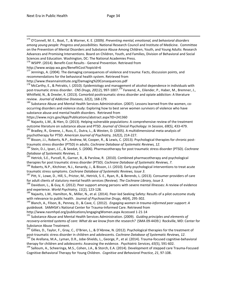175 O'Connell, M. E., Boat, T., & Warner, K. E. (2009*). Preventing mental, emotional, and behavioral disorders among young people: Progress and possibilities.* National Research Council and Institute of Medicine. Committee on the Prevention of Mental Disorders and Substance Abuse Among Children, Youth, and Young Adults: Research Advances and Promising Interventions. Board on Children, Youth, and Families, Division of Behavioral and Social Sciences and Education. Washington, DC: The National Academies Press.<br><sup>176</sup> WSIPP. (2014). Benefit-Cost Results - General Prevention. Retrieved from

http://www.wsipp.wa.gov/BenefitCost?topicId=6

<sup>177</sup> Jennings, A. (2004). The damaging consequences of violence and trauma: Facts, discussion points, and recommendations for the behavioral health system. Retrieved from

http://www.theannainstitute.org/Damaging%20Consequences.pdf

<sup>178</sup> McCarthy, E., & Petrakis, I. (2010). Epidemiology and management of alcohol dependence in individuals with post-traumatic stress disorder. *CNS Drugs, 20*(12), 997-1007.<sup>179</sup> Fareend, A., Eilender, P., Haber, M., Bremner, J., Whitfield, N., & Drexler, K. (2013). Comorbid posttraumatic stress disorder and opiate addiction: A literature review. *Journal of Addictive Diseases, 32*(2), 168-179.<br><sup>180</sup> Substance Abuse and Mental Health Services Administration. (2007). Lessons learned from the women, co-

occurring disorders and violence study: Exploring how to best serve women survivors of violence who have substance abuse and mental health disorders. Retrieved from

https://www.ncjrs.gov/App/Publications/abstract.aspx?ID=241360<br><sup>181</sup> Najavitz, L.M., & Hien, D. (2013). Helping vulnerable populations: A comprehensive review of the treatment<br>outcome literature on substance abuse and PTSD

<sup>182</sup> Bradley, R., Greene, J., Russ, E., Dutra, L., & Westen, D. (2005). A multidimensional meta-analysis of psychotherapy for PTSD. *American Journal of Psychiatry, 162*(2), 214-227.<br><sup>183</sup> Bisson, J.I., Roberts, N.P., Andrew, M, Cooper, R., & Lewis, C. (2013). Psychological therapies for chronic post-

traumatic stress disorder (PTSD) in adults. *Cochrane Database of Systematic Reviews, 12.* 184 Stein, D.J., Ipser, J.C., & Seedat, S. (2006). Pharmacotherapy for post traumatic stress disorder (PTSD). *Cochrane PTSD*). *Database of Systematic Reviews, 1.*

<sup>185</sup> Hetrick, S.E., Purcell, R., Garner, B., & Parslow, R. (2010). Combined pharmacotherapy and psychological therapies for post traumatic stress disorder (PTSD). *Cochrane Database of Systematic Reviews, 7*.

<sup>186</sup> Roberts, N.P., Kitchiner, N.J., Kenardy, J., & Bisson, J.I. (2010). Early psychological interventions to treat acute traumatic stress symptoms. Cochrane Database of Systematic Reviews, Issue 3.

<sup>187</sup> Pitt, V., Lowe, D., Hill, S., Prictor, M., Hetrick, S. E., Ryan, R., & Berends, L. (2013). Consumer-providers of care

for adult clients of statutory mental health services (Review). *The Cochrane Library, Issue 3*. 188 Davidson, L., & Guy, K. (2012). Peer support among persons with severe mental illnesses: A review of evidence and experie

<sup>189</sup> Najavits, L.M., Hamilton, N., Miller, N., et al. (2014). Peer-led Seeking Safety: Results of a pilot outcome study with relevance to public health. *Journal of Psychoactive Drugs, 46*(4), 295-302.<br><sup>190</sup> Blanch, A., Filson, B., Penney, D., & Cave, C. (2012). *Engaging women in trauma-informed peer support: A* 

*guidebook.* SAMHSA's National Center for Trauma-Informed Care. Retrieved from

http://www.nasmhpd.org/publications/engagingWomen.aspx Accessed 1-21-14<br><sup>191</sup> Substance Abuse and Mental Health Services Administration. (2009). *Guiding principles and elements of recovery-oriented systems of care: What do we know from the research?* (SMA 09-4439.) Rockville, MD: Center for Substance Abuse Treatment.

<sup>192</sup> Gillies, D., Taylor, F., Gray, C., O'Brien, L., & D'Abrew, N. (2012). Psychological therapies for the treatment of post-traumatic stress disorder in children and adolescents. Cochrane Database of Systematic Reviews,

<sup>193</sup> De Arellana, M.A., Lyman, D.R., Jobe-Shields, L., George, P., et al. (2014). Trauma-focused cognitive-behavioral<br>therapy for children and adolescents: Assessing the evidence. *Psychiatric Services, 65*(5), 591-602.

<sup>194</sup> Salloum, A., Scheeringa, M.S., Cohen, J.A., & Storch, E.A. (2014). Development of stepped care Trauma-Focused Cognitive-Behavioral Therapy for Young Children. *Cognitive and Behavioral Practice, 21*, 97-108.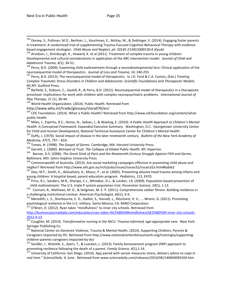<sup>194</sup> Dorsey, S., Pullman, M.D., Berliner, L., Koschman, E., McKay, M., & Deblinger, E. (2014). Engaging foster parents in treatment: A randomized trial of supplementing Trauma-Focused Cognitive Behavioral Therapy with evidence-

based engagement strategies. *Child Abuse and Neglect, pii: S0145-2134(14)00130-6 (Epub)*<br><sup>195</sup> Arvidson, J., Kinniburgh, K., Howard, K. et al (2011) Treatment of complex trauma in young children: Developmental and cultural considerations in application of the ARC intervention model. *Journal of Child and* 

*Adolescent Trauma, 4(1), 34-51.*<br><sup>196</sup> Perry, B.D. (2009). Examining child maltreatment through a neurodevelopmental lens: Clinical application of the<br>neurosequential model of therapeutics. *Journal of Loss and Trauma, 14* 

<sup>197</sup> Perry, B.D. (2013). The neurosequential model of therapeutics. In J.D. Ford & C.A. Cortois, (Eds.) *Treating Complex Traumatic Stress Disorders in Children and Adolescents: Scientific Foundations and Therapeutic Models*. NY,NY: Guilford Press.

<sup>198</sup> Barfield, S., Dobson, C., Gaskill, R., & Perry, B.D. (2012). Neurosequential model of therapeutics in a therapeutic preschool: Implications for work with children with complex neuropsychiatric problems. *International Journal of* 

*Play Therapy, 21* (1), 30-44.<br><sup>199</sup> World Health Organization. (2014). Public Health. Retrieved from<br>http://www.who.int/trade/glossary/story076/en/

<sup>200</sup> CDC Foundation. (2014). What is Public Health? Retrieved from http://www.cdcfoundation.org/content/whatpublic-health<br><sup>201</sup> Miles, J., Espiritu, R.C., Horen, N., Sebian, J., & Waetzig, E. (2010). *A Public Health Approach to Children's Mental* 

*Health: A Conceptual Framework: Expanded Executive Summary.* Washington, D.C.: Georgetown University Center for Child and Human Development, National Technical Assistance Center for Children's Mental Health.

<sup>202</sup> Duffy, J. (1970). Social impact of disease in the later nineteenth century. *Bulletin of the New York Academy of*  Medicine, 47(7), 797 – 810.<br><sup>203</sup> Tomes, N. (1998). *The Gospel of Germs*. Cambridge, MA: Harvard University Press.<br><sup>204</sup> Garrett, L. (2000). *Betrayal of Trust. The Collapse of Global Public Health*. NY: Hyperion.<br><sup>205</sup> B

Baltimore, MD: Johns Hopkins University Press.

<sup>206</sup> Commonwealth of Australia. (2013). Are social marketing campaigns effective in preventing child abuse and neglect? Retrieved from http://www.aifs.gov.au/nch/pubs/issues/issues32/issues32a.html#table2<br><sup>207</sup> Dias, M.F., Smith, K., deGuehery, K., Mazur, P., et al. (2005). Preventing abusive head trauma among infants and

young children: A hospital-based, parent education program. *Pediatrics, 115*, E470.<br><sup>208</sup> Prinz, R.J., Sanders, M.R., Sharipo, C.J., Whitaker, D.J., & Lutzker, J.R. (2009). Population-based prevention of

child maltreatment: The U.S. triple P system population trial. *Prevention Science, 10*(1), 1-12.<br><sup>209</sup> Cornum, R., Mathews, M. D., & Seligman, M. E. P. (2011). Comprehensive soldier fitness: Building resilience in<br>a chall

<sup>210</sup> Meredith, L. S., Sherbourne, C. D., Gaillot, S., Hansell, L., Ritschard, H. V., ... Wrenn, G. (2011). Promoting psychological resilience in the U.S. military. Santa Monica, CA: RAND Corporation.

 $^{211}$  O'Brien, D. (2012). Ryan takes "mindfulness" to inner city schools. Retrieved from

[http://businessjournaldaily.com/education/ryan-takes-%E2%80%98mindfulness%E2%80%99-inner-city-schools-](http://businessjournaldaily.com/education/ryan-takes-%E2%80%98mindfulness%E2%80%99-inner-city-schools-2012-4-13)

[2012-4-13 212](http://businessjournaldaily.com/education/ryan-takes-%E2%80%98mindfulness%E2%80%99-inner-city-schools-2012-4-13) Coughlin, M. (2014). *Transformative nursing in the NICU: Trauma-informed, age-appropriate care.* New York: Springer Publishing Co.

<sup>213</sup> National Center on Domestic Violence, Trauma & Mental Health. (2014). Supporting Children, Parents & Caregivers Impacted by DV. Retrieved from http://www.nationalcenterdvtraumamh.org/trainingta/supportingchildren-parents-caregivers-impacted-by-dv/<br><sup>214</sup> Sandler, I., Wolchik, S., Ayers, T., & Luecken, L. (2013). Family bereavement program (FBP) approach to

promoting resilience following the death of a parent. *Family Science, 4*(1), 1-14.<br><sup>215</sup> University of California -San Diego. (2014). App paired with sensor measures stress, delivers advice to cope in

real time." *ScienceDaily. 4*, June . Retrieved from www.sciencedaily.com/releases/2014/06/140604094104.htm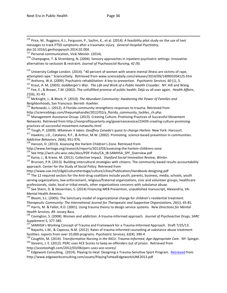<sup>216</sup> Price, M., Ruggiero, K.J., Ferguson, P., Sachin, K., et al. (2014). A feasibility pilot study on the use of text messages to track PTSD symptoms after a traumatic injury. *General Hospital Psychiatry*,

doi:10.1016/j.genhosppsych.2014.02.004.

<sup>217</sup> Personal communication, Vicki Meisler. (2014).

 $^{218}$  Champagne, T. & Stromberg, N, (2004). Sensory approaches in inpatient psychiatric settings: innovative alternatives to seclusion & restraint. *Journal of Psychosocial Nursing, 42 (9).*

<sup>219</sup> University College London. (2014). "40 percent of women with severe mental illness are victims of rape,<br>attempted rape." ScienceDaily. Retrieved from www.sciencedaily.com/releases/2014/09/140903204125.htm

<sup>220</sup> Anthony, W.A. (2009). Psychiatric rehabilitation: A key to prevention. *Psychiatric Services, 60* (1), 3.<br><sup>221</sup> Kraut, A. M. (2003). *Goldberger's War. The Life and Work of a Public Health Crusader*. NY: Hill and Wa

<sup>223</sup> McKnight, J., & Block, P. (2010). *The Abundant Community: Awakening the Power of Families and* 

*Neighborhoods*, San Francisco: Berrett- Koehler.<br><sup>224</sup> Borkowski, L. (2012). A Florida community strengthens responses to trauma. Retrieved from<br>http://scienceblogs.com/thepumphandle/2012/02/a florida community tackles ch

<sup>225</sup> Management Assistance Group. (2013). Creating Culture: Promising Practices of Successful Movement Networks. Retrieved from http://nonprofitquarterly.org/governancevoice/23439-creating-culture-promisingpractices-of-successful-movement-networks.html<br><sup>226</sup> Tough, P. (2009). Whatever it takes: Geoffrey Canada's quest to change Harlem. New York: Harcourt.<br><sup>227</sup> Hawkins, J.D., Catalano, R.F., & Arthur, M.W. (2002). Promoting

*Addictive Behaviors, 26*(6), 951-976.<br><sup>228</sup> Hanson, D. (2013). Assessing the Harlem Children's Zone. Retrieved from

http://www.heritage.org/research/reports/2013/03/assessing-the-harlem-childrens-zone<br><sup>229</sup> See http://wch.uhs.wisc.edu/docs/PDF-Pubs/CA\_IB-SAMHSA\_SPF\_Overview.pdf<br><sup>230</sup> Kania, J., & Krane, M. (2011). Collective Impact. *St* approach. Center for the Study of Social Policy. Retrieved from<br>http://www.coe.int/t/dg4/cultureheritage/culture/cities/Publication/Handbook-designing.pdf

<sup>232</sup> The 12 required sectors for the Anti-drug coalitions include youth, parents, business, media, schools, youth serving organizations, law enforcement, religious/fraternal organizations, civic and volunteer groups, healthcare

professionals, state, local or tribal emails, other organizations concerns with substance abuse.<br><sup>233</sup> See Shern, D. & Steverman, S. (2014) Financing MEB Prevention, unpublished manuscript, Alexandria, VA:<br>Mental Health Am

 $^{234}$  Bloom, S.L. (2005). The Sanctuary model of organizational change for children's residential treatment.

Therapeutic Community: The International Journal for Therapeutic and Supportive Organizations, 26(1), 65-81.<br><sup>235</sup> Harris, M. & Fallot, R.D. (2001). Using trauma theory to design service systems. New Directions for Mental<br>

*Health Services, 89.* Jossey-Bass. <sup>236</sup> Covington, S. (2008). Women and addiction: A trauma-informed approach*. Journal of Psychoactive Drugs, SARC* 

Supplement 5, 377-385.<br><sup>237</sup> SAMHSA's Working Concept of Trauma and Framework for a Trauma-Informed Approach. Draft 7/25/13.<br><sup>238</sup> Najavits, L.M., & Capezza, N.M. (2012). Rates of trauma-informed counseling at substance ab

239 Coughlin, M. (2014). Transformative Nursing in the NICU: Trauma-Informed, Age-Appropriate Care. NY: Spinger.<br><sup>240</sup> Stevens, J. E. (2012). PERC uses ACE Scores to keep ex-offenders out of prison. Retrieved from<br>http://a

http://acestoon.com/2012/03/06/perce-uses-ace-scores-ace-score-score-scores-scores-scores-scores-scores-score<br><sup>241</sup> Edgework Consulting. (2014). Playing to Heal: Designing a Trauma-Sensitive Sport Program. <u>[Retrieved](http://www.edgeworkconsulting.com/)</u> from http://www.edgeworkconsulting.com/assets/PlayingToHealEdgeworkJUNE2013.pdf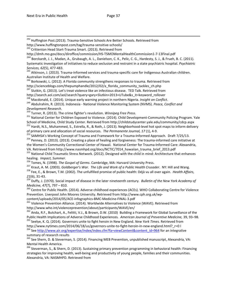<sup>242</sup> Huffington Post.(2013). Trauma-Sensitive Schools Are Better Schools. Retrieved from<br>http://www.huffingtonpost.com/tag/trauma-sensitive-schools/

<sup>243</sup> Crittenton Head Start-Trauma Smart. (2013). Retrieved from

http://dmh.mo.gov/docs/diroffice/commission/HS-TSMOMentalHealthCommission1-7-13Final.pdf<br><sup>244</sup> Borckardt, J. J., Madan, A., Grubaugh, A. L., Danielson, C. K., Pelic, C. G., Hardesty, S. J., & Frueh, B. C. (2011). Systematic investigation of initiatives to reduce seclusion and restraint in a state psychiatric hospital*. Psychiatric Services, 62*(5), 477-483.<br><sup>245</sup> Atkinson, J. (2013). Trauma-informed services and trauma-specific care for indigenous Australian children.

Australian Institute of Health and Welfare.

<sup>246</sup> Borkowski, L. (2012). A Florida community strengthens responses to trauma. Retrieved from

http://scienceblogs.com/thepumphandle/2012/02/a\_florida\_community\_tackles\_ch.php

<sup>247</sup> Slutkin, G. (2013). Let's treat violence like an infectious disease. TED Talk. Retrieved from

http://search.aol.com/aol/search?query=gary+Slutkin+2013+UTube&s\_it=keyword\_rollover<br><sup>248</sup> Macdonald, E. (2014). Unique early warning project in northern Nigeria. *Insight on Conflict*.<br><sup>249</sup> Abdulrahim, R. (2013). Indones *Development Research.*

<sup>251</sup> National Center for Children Exposed to Violence. (2014). Child Development-Community Policing Program. Yale

School of Medicine, Child Study Center. Retrieved from http://childstudycenter.yale.edu/community/cdcp.aspx <sup>252</sup> Hardt, N.S., Muhammed, S., Estrella, R., & Roth, J. (2013). Neighborhood-level hot spot maps to inform deliv

<sup>253</sup> SAMHSA's Working Concept of Trauma and Framework for a Trauma-Informed Approach. Draft 7/25/13.<br><sup>254</sup> Penney, D. (2013). (2013). Creating a place of healing and forgiveness: The trauma-informed care initiative at

the Women's Community Correctional Center of Hawaii. National Center for Trauma-Informed Care: Alexandria,<br>VA. Retrieved from http://www.nasmhpd.org/docs/NCTIC/7014 hawaiian trauma brief 2013.pdf

<sup>255</sup> National Child Traumatic Stress Network. (2012). Designed with the child in mind: Architecture that enhances healing. *Impact, Summer.*<br><sup>256</sup> Tomes, N. (1998). *The Gospel of Germs*. Cambridge, MA: Harvard University Press.<br><sup>257</sup> Kraut, A. M. (2003). *Goldberger's War. The Life and Work of a Public Health Crusader*. NY: Hill and

*<sup>21</sup>*(6), 31-43. <sup>259</sup> Duffy, J. (1970). Social impact of disease in the later nineteenth century. *Bulletin of the New York Academy of* 

*Medicine, 47*(7), 797 – 810.<br><sup>260</sup> Centre for Public Health. (2014). Adverse childhood experiences (ACEs). WHO Collaborating Centre for Violence Prevention. Liverpool John Moores University. Retrieved from http://www.cph.org.uk/wp-

content/uploads/2014/05/ACE-infographics-BMC-Medicine-FINAL-3.pdf<br><sup>261</sup> Violence Prevention Alliance. (2014). Worldwide Alternatives to Violence (WAVE). Retrieved from http://www.who.int/violenceprevention/about/participants/WAVE/en/

<sup>262</sup> Anda, R.F., Butchart, A., Felitti, V.J., & Brown, D.W. (2010) Building a Framework for Global Surveillance of the Public Health Implications of Adverse Childhood Experiences. American Journal of Preventive Medicine, 39, 93–98.<br><sup>263</sup> Seelye, K. Q. (2014). Governors unite to fight heroin in New England. New York Times. Retrieved from<br>ht

<sup>264</sup> See [http://www.air.org/expertise/index/index.cfm?fa=viewContent&content\\_id=964](http://www.air.org/expertise/index/index.cfm?fa=viewContent&content_id=964) for an integrative summary of research results

265 See Shern, D. & Steverman, S. (2014). Financing MEB Prevention, unpublished manuscript, Alexandria, VA: Mental Health America.

<sup>266</sup> Steverman, S., & Shern, D. (2013). Sustaining primary prevention programming in behavioral health: Financing strategies for improving health, well-being and productivity of young people, families and their communities. Alexandria, VA: NASMHPD. Retrieved from